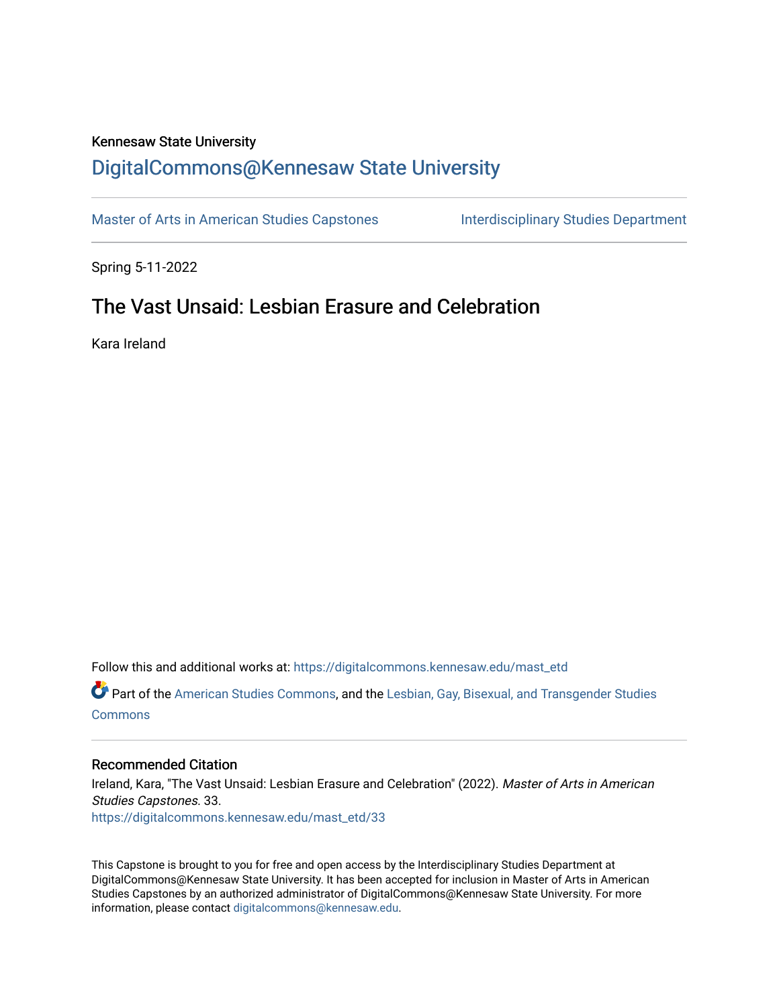#### Kennesaw State University

## [DigitalCommons@Kennesaw State University](https://digitalcommons.kennesaw.edu/)

[Master of Arts in American Studies Capstones](https://digitalcommons.kennesaw.edu/mast_etd) Interdisciplinary Studies Department

Spring 5-11-2022

# The Vast Unsaid: Lesbian Erasure and Celebration

Kara Ireland

Follow this and additional works at: [https://digitalcommons.kennesaw.edu/mast\\_etd](https://digitalcommons.kennesaw.edu/mast_etd?utm_source=digitalcommons.kennesaw.edu%2Fmast_etd%2F33&utm_medium=PDF&utm_campaign=PDFCoverPages) 

Part of the [American Studies Commons](http://network.bepress.com/hgg/discipline/439?utm_source=digitalcommons.kennesaw.edu%2Fmast_etd%2F33&utm_medium=PDF&utm_campaign=PDFCoverPages), and the [Lesbian, Gay, Bisexual, and Transgender Studies](http://network.bepress.com/hgg/discipline/560?utm_source=digitalcommons.kennesaw.edu%2Fmast_etd%2F33&utm_medium=PDF&utm_campaign=PDFCoverPages)  **[Commons](http://network.bepress.com/hgg/discipline/560?utm_source=digitalcommons.kennesaw.edu%2Fmast_etd%2F33&utm_medium=PDF&utm_campaign=PDFCoverPages)** 

#### Recommended Citation

Ireland, Kara, "The Vast Unsaid: Lesbian Erasure and Celebration" (2022). Master of Arts in American Studies Capstones. 33. [https://digitalcommons.kennesaw.edu/mast\\_etd/33](https://digitalcommons.kennesaw.edu/mast_etd/33?utm_source=digitalcommons.kennesaw.edu%2Fmast_etd%2F33&utm_medium=PDF&utm_campaign=PDFCoverPages)

This Capstone is brought to you for free and open access by the Interdisciplinary Studies Department at DigitalCommons@Kennesaw State University. It has been accepted for inclusion in Master of Arts in American Studies Capstones by an authorized administrator of DigitalCommons@Kennesaw State University. For more information, please contact [digitalcommons@kennesaw.edu](mailto:digitalcommons@kennesaw.edu).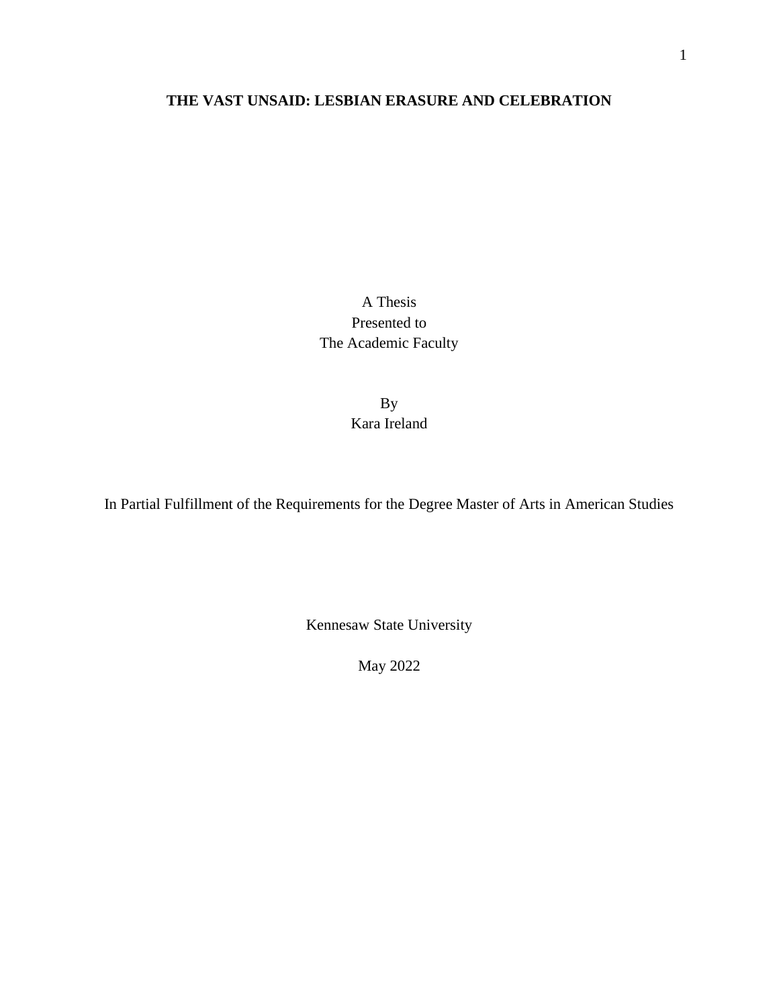## **THE VAST UNSAID: LESBIAN ERASURE AND CELEBRATION**

A Thesis Presented to The Academic Faculty

> By Kara Ireland

In Partial Fulfillment of the Requirements for the Degree Master of Arts in American Studies

Kennesaw State University

May 2022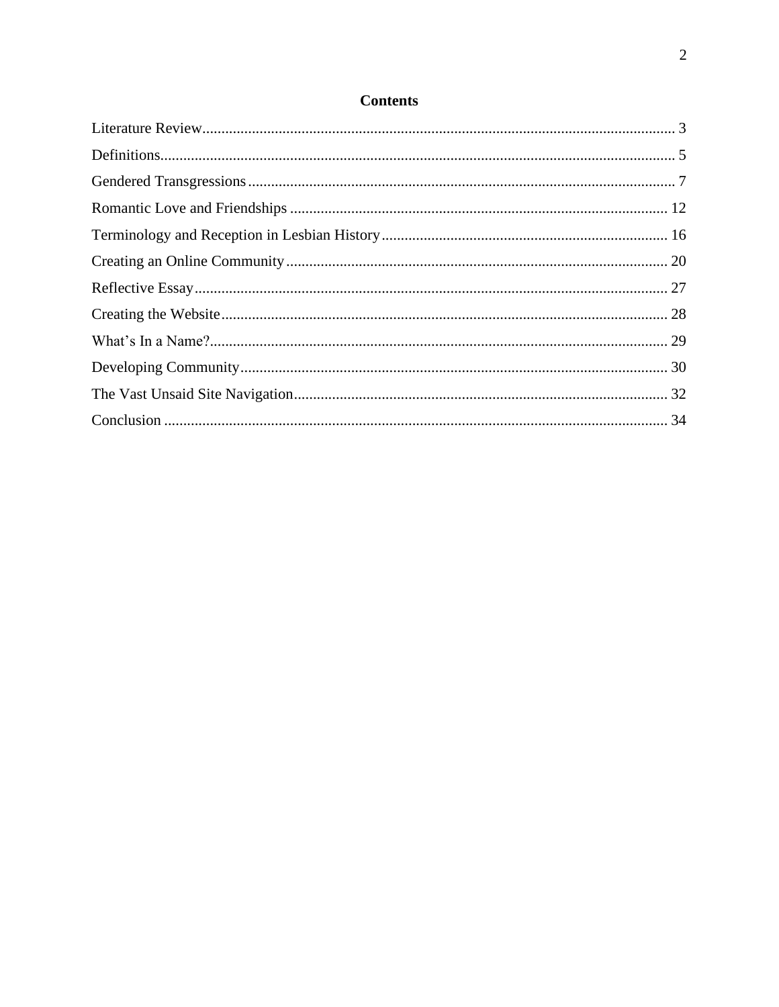## **Contents**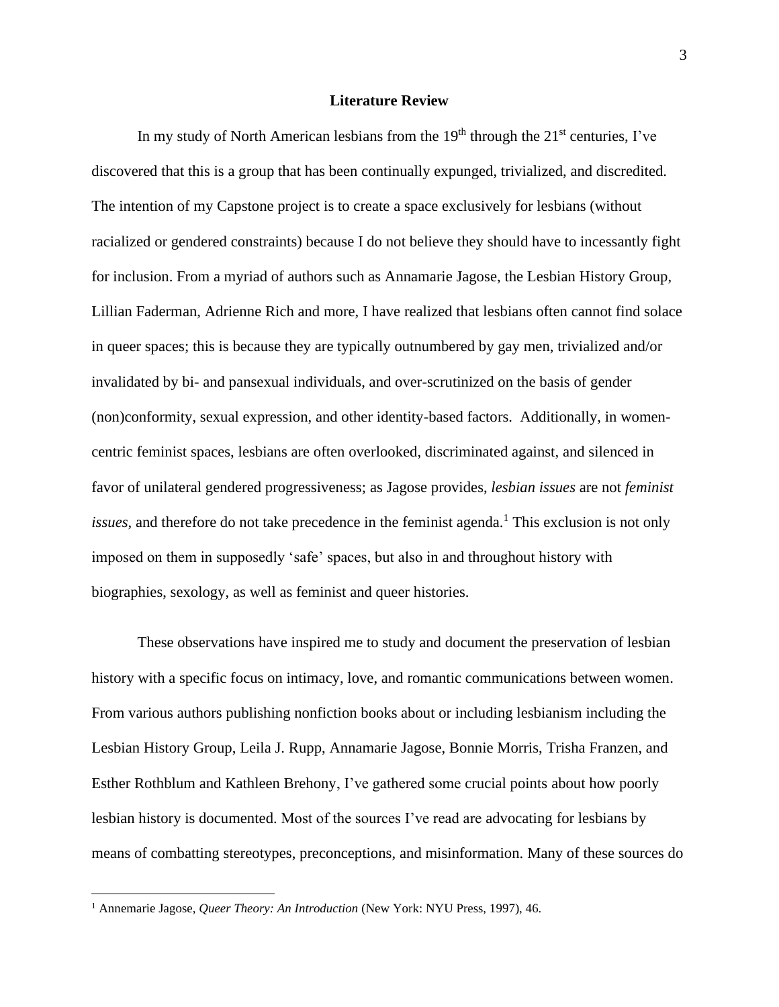#### **Literature Review**

<span id="page-3-0"></span>In my study of North American lesbians from the  $19<sup>th</sup>$  through the  $21<sup>st</sup>$  centuries, I've discovered that this is a group that has been continually expunged, trivialized, and discredited. The intention of my Capstone project is to create a space exclusively for lesbians (without racialized or gendered constraints) because I do not believe they should have to incessantly fight for inclusion. From a myriad of authors such as Annamarie Jagose, the Lesbian History Group, Lillian Faderman, Adrienne Rich and more, I have realized that lesbians often cannot find solace in queer spaces; this is because they are typically outnumbered by gay men, trivialized and/or invalidated by bi- and pansexual individuals, and over-scrutinized on the basis of gender (non)conformity, sexual expression, and other identity-based factors. Additionally, in womencentric feminist spaces, lesbians are often overlooked, discriminated against, and silenced in favor of unilateral gendered progressiveness; as Jagose provides, *lesbian issues* are not *feminist issues*, and therefore do not take precedence in the feminist agenda. <sup>1</sup> This exclusion is not only imposed on them in supposedly 'safe' spaces, but also in and throughout history with biographies, sexology, as well as feminist and queer histories.

These observations have inspired me to study and document the preservation of lesbian history with a specific focus on intimacy, love, and romantic communications between women. From various authors publishing nonfiction books about or including lesbianism including the Lesbian History Group, Leila J. Rupp, Annamarie Jagose, Bonnie Morris, Trisha Franzen, and Esther Rothblum and Kathleen Brehony, I've gathered some crucial points about how poorly lesbian history is documented. Most of the sources I've read are advocating for lesbians by means of combatting stereotypes, preconceptions, and misinformation. Many of these sources do

<sup>&</sup>lt;sup>1</sup> Annemarie Jagose, *Queer Theory: An Introduction* (New York: NYU Press, 1997), 46.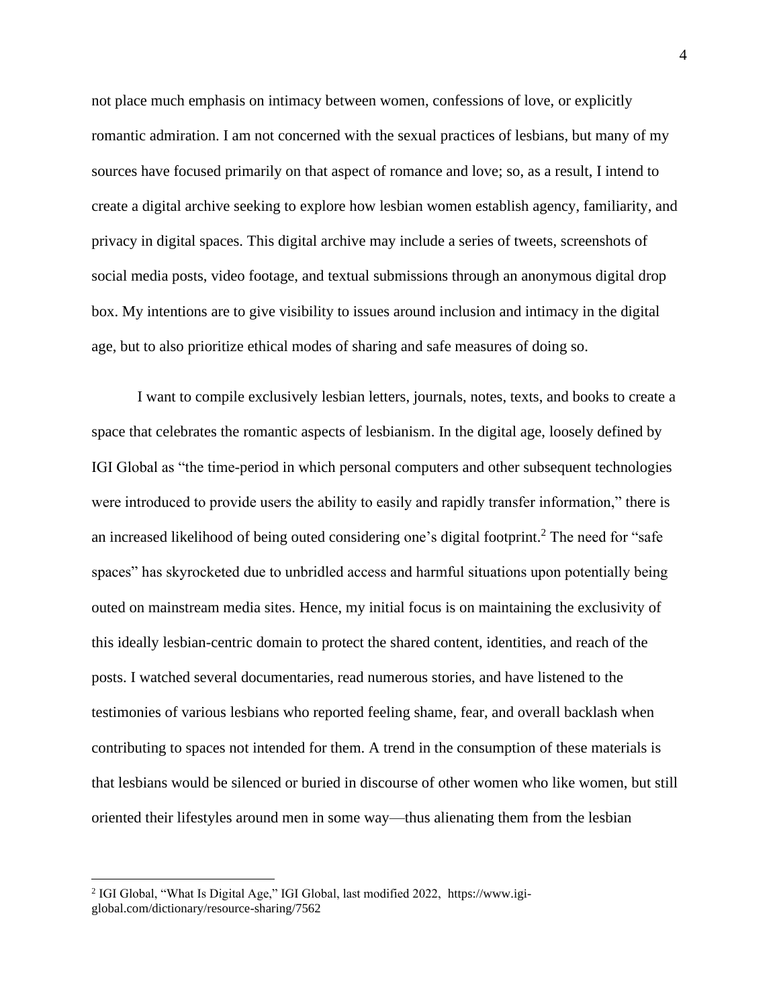not place much emphasis on intimacy between women, confessions of love, or explicitly romantic admiration. I am not concerned with the sexual practices of lesbians, but many of my sources have focused primarily on that aspect of romance and love; so, as a result, I intend to create a digital archive seeking to explore how lesbian women establish agency, familiarity, and privacy in digital spaces. This digital archive may include a series of tweets, screenshots of social media posts, video footage, and textual submissions through an anonymous digital drop box. My intentions are to give visibility to issues around inclusion and intimacy in the digital age, but to also prioritize ethical modes of sharing and safe measures of doing so.

I want to compile exclusively lesbian letters, journals, notes, texts, and books to create a space that celebrates the romantic aspects of lesbianism. In the digital age, loosely defined by IGI Global as "the time-period in which personal computers and other subsequent technologies were introduced to provide users the ability to easily and rapidly transfer information," there is an increased likelihood of being outed considering one's digital footprint. <sup>2</sup> The need for "safe spaces" has skyrocketed due to unbridled access and harmful situations upon potentially being outed on mainstream media sites. Hence, my initial focus is on maintaining the exclusivity of this ideally lesbian-centric domain to protect the shared content, identities, and reach of the posts. I watched several documentaries, read numerous stories, and have listened to the testimonies of various lesbians who reported feeling shame, fear, and overall backlash when contributing to spaces not intended for them. A trend in the consumption of these materials is that lesbians would be silenced or buried in discourse of other women who like women, but still oriented their lifestyles around men in some way—thus alienating them from the lesbian

<sup>&</sup>lt;sup>2</sup> IGI Global, "What Is Digital Age," IGI Global, last modified 2022, https://www.igiglobal.com/dictionary/resource-sharing/7562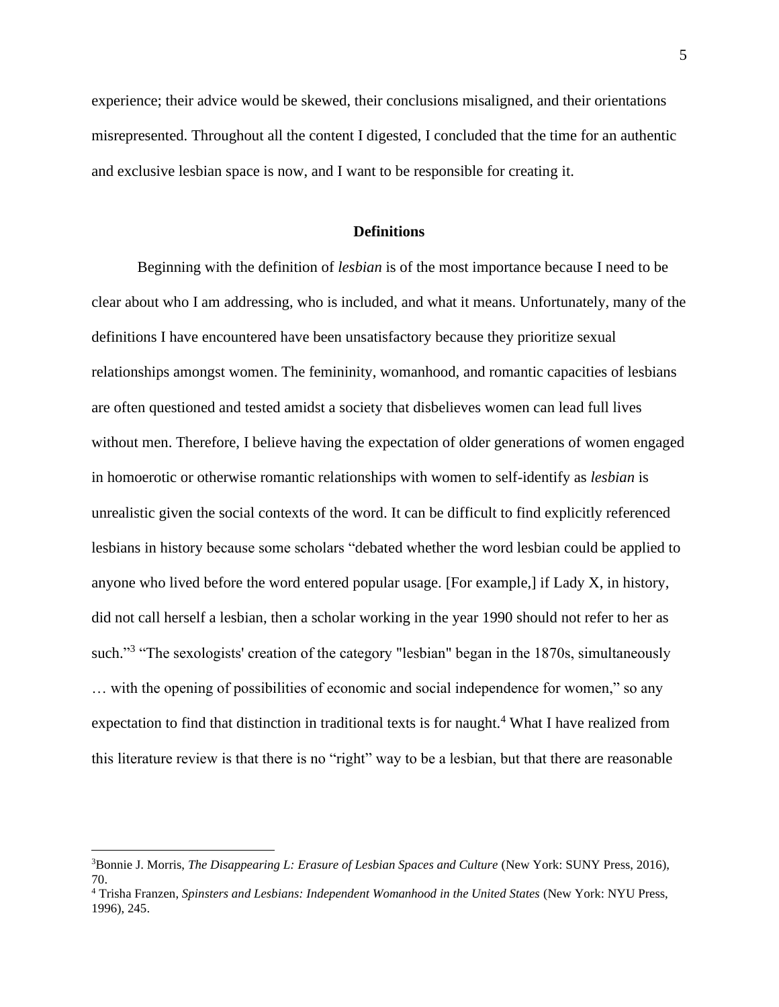experience; their advice would be skewed, their conclusions misaligned, and their orientations misrepresented. Throughout all the content I digested, I concluded that the time for an authentic and exclusive lesbian space is now, and I want to be responsible for creating it.

#### **Definitions**

<span id="page-5-0"></span>Beginning with the definition of *lesbian* is of the most importance because I need to be clear about who I am addressing, who is included, and what it means. Unfortunately, many of the definitions I have encountered have been unsatisfactory because they prioritize sexual relationships amongst women. The femininity, womanhood, and romantic capacities of lesbians are often questioned and tested amidst a society that disbelieves women can lead full lives without men. Therefore, I believe having the expectation of older generations of women engaged in homoerotic or otherwise romantic relationships with women to self-identify as *lesbian* is unrealistic given the social contexts of the word. It can be difficult to find explicitly referenced lesbians in history because some scholars "debated whether the word lesbian could be applied to anyone who lived before the word entered popular usage. [For example,] if Lady X, in history, did not call herself a lesbian, then a scholar working in the year 1990 should not refer to her as such."<sup>3</sup> "The sexologists' creation of the category "lesbian" began in the 1870s, simultaneously … with the opening of possibilities of economic and social independence for women," so any expectation to find that distinction in traditional texts is for naught.<sup>4</sup> What I have realized from this literature review is that there is no "right" way to be a lesbian, but that there are reasonable

<sup>3</sup>Bonnie J. Morris, *The Disappearing L: Erasure of Lesbian Spaces and Culture* (New York: SUNY Press, 2016), 70.

<sup>4</sup> Trisha Franzen, *Spinsters and Lesbians: Independent Womanhood in the United States* (New York: NYU Press, 1996), 245.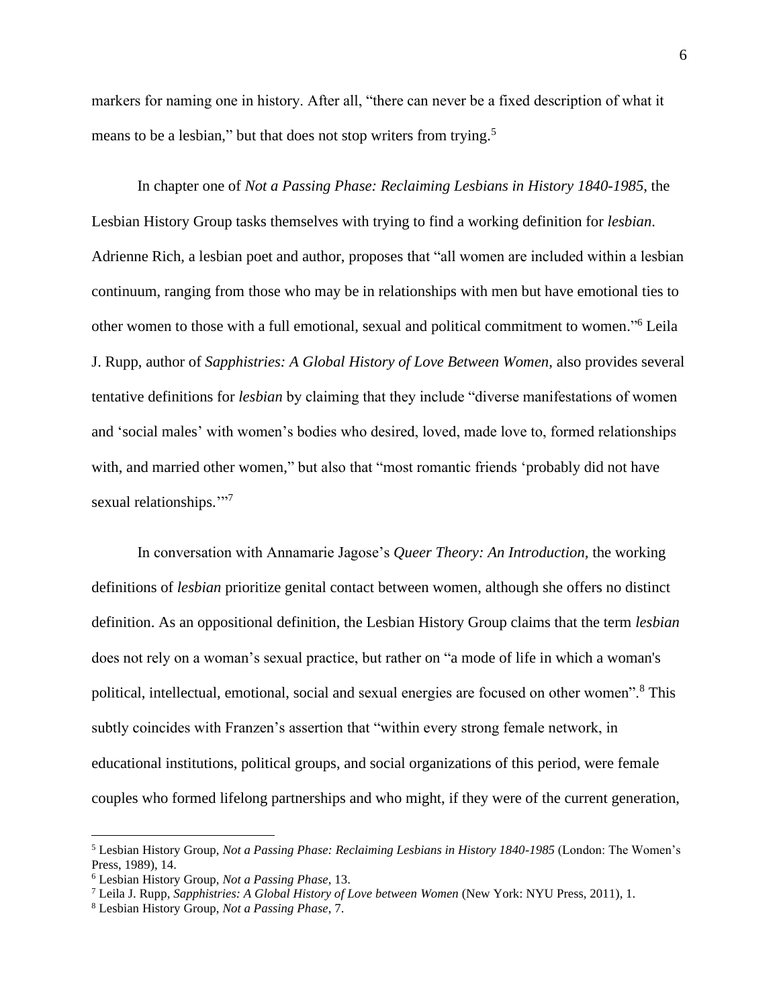markers for naming one in history. After all, "there can never be a fixed description of what it means to be a lesbian," but that does not stop writers from trying.<sup>5</sup>

In chapter one of *Not a Passing Phase: Reclaiming Lesbians in History 1840-1985*, the Lesbian History Group tasks themselves with trying to find a working definition for *lesbian*. Adrienne Rich, a lesbian poet and author, proposes that "all women are included within a lesbian continuum, ranging from those who may be in relationships with men but have emotional ties to other women to those with a full emotional, sexual and political commitment to women." <sup>6</sup> Leila J. Rupp, author of *Sapphistries: A Global History of Love Between Women,* also provides several tentative definitions for *lesbian* by claiming that they include "diverse manifestations of women and 'social males' with women's bodies who desired, loved, made love to, formed relationships with, and married other women," but also that "most romantic friends 'probably did not have sexual relationships."<sup>77</sup>

In conversation with Annamarie Jagose's *Queer Theory: An Introduction,* the working definitions of *lesbian* prioritize genital contact between women, although she offers no distinct definition. As an oppositional definition, the Lesbian History Group claims that the term *lesbian* does not rely on a woman's sexual practice, but rather on "a mode of life in which a woman's political, intellectual, emotional, social and sexual energies are focused on other women".<sup>8</sup> This subtly coincides with Franzen's assertion that "within every strong female network, in educational institutions, political groups, and social organizations of this period, were female couples who formed lifelong partnerships and who might, if they were of the current generation,

<sup>5</sup> Lesbian History Group, *Not a Passing Phase: Reclaiming Lesbians in History 1840-1985* (London: The Women's Press, 1989), 14.

<sup>6</sup> Lesbian History Group, *Not a Passing Phase*, 13.

<sup>7</sup> Leila J. Rupp, *Sapphistries: A Global History of Love between Women* (New York: NYU Press, 2011), 1.

<sup>8</sup> Lesbian History Group, *Not a Passing Phase*, 7.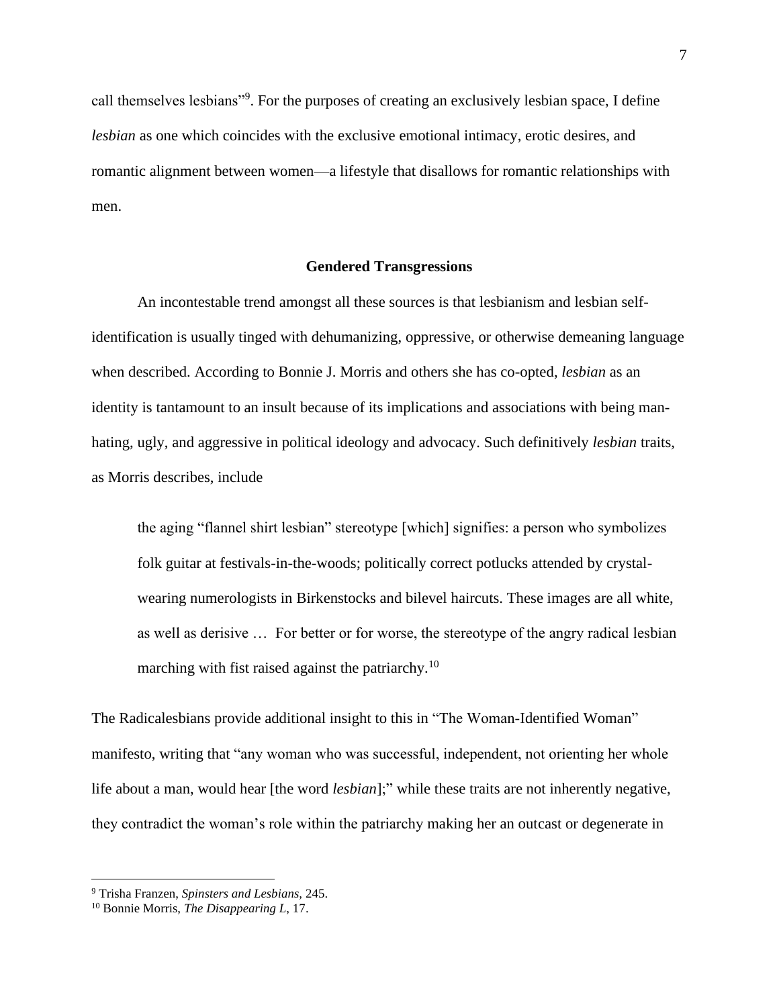call themselves lesbians"<sup>9</sup>. For the purposes of creating an exclusively lesbian space, I define *lesbian* as one which coincides with the exclusive emotional intimacy, erotic desires, and romantic alignment between women—a lifestyle that disallows for romantic relationships with men.

#### **Gendered Transgressions**

<span id="page-7-0"></span>An incontestable trend amongst all these sources is that lesbianism and lesbian selfidentification is usually tinged with dehumanizing, oppressive, or otherwise demeaning language when described. According to Bonnie J. Morris and others she has co-opted, *lesbian* as an identity is tantamount to an insult because of its implications and associations with being manhating, ugly, and aggressive in political ideology and advocacy. Such definitively *lesbian* traits, as Morris describes, include

the aging "flannel shirt lesbian" stereotype [which] signifies: a person who symbolizes folk guitar at festivals-in-the-woods; politically correct potlucks attended by crystalwearing numerologists in Birkenstocks and bilevel haircuts. These images are all white, as well as derisive … For better or for worse, the stereotype of the angry radical lesbian marching with fist raised against the patriarchy.<sup>10</sup>

The Radicalesbians provide additional insight to this in "The Woman-Identified Woman" manifesto, writing that "any woman who was successful, independent, not orienting her whole life about a man, would hear [the word *lesbian*];" while these traits are not inherently negative, they contradict the woman's role within the patriarchy making her an outcast or degenerate in

<sup>9</sup> Trisha Franzen, *Spinsters and Lesbians,* 245.

<sup>10</sup> Bonnie Morris, *The Disappearing L*, 17.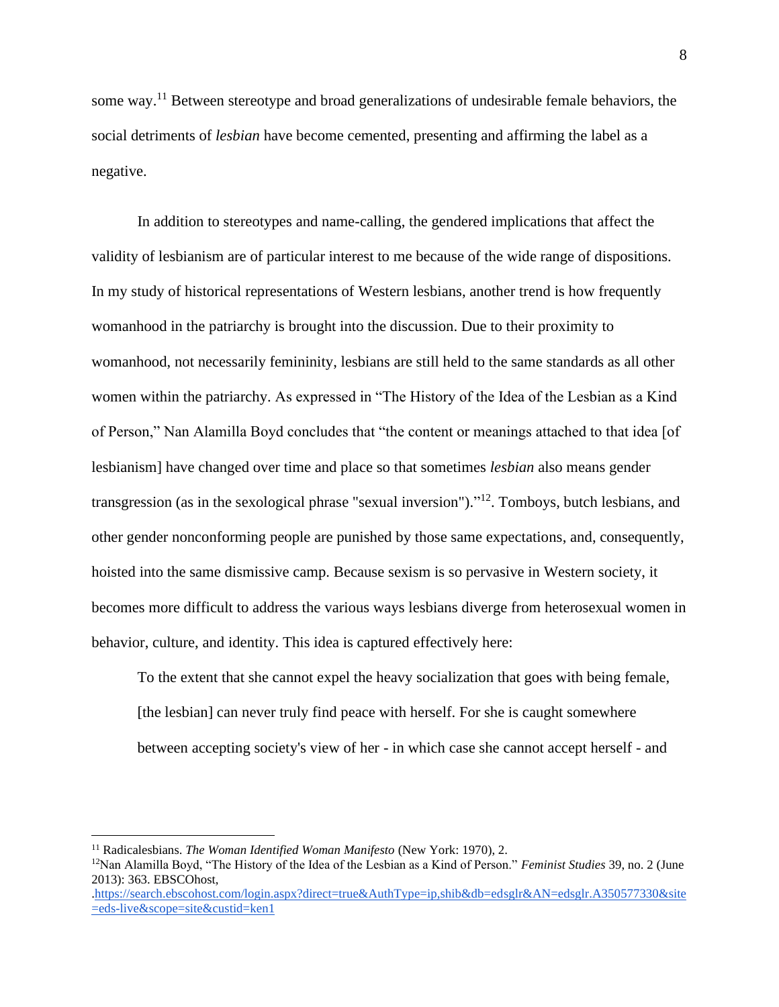some way.<sup>11</sup> Between stereotype and broad generalizations of undesirable female behaviors, the social detriments of *lesbian* have become cemented, presenting and affirming the label as a negative.

In addition to stereotypes and name-calling, the gendered implications that affect the validity of lesbianism are of particular interest to me because of the wide range of dispositions. In my study of historical representations of Western lesbians, another trend is how frequently womanhood in the patriarchy is brought into the discussion. Due to their proximity to womanhood, not necessarily femininity, lesbians are still held to the same standards as all other women within the patriarchy. As expressed in "The History of the Idea of the Lesbian as a Kind of Person," Nan Alamilla Boyd concludes that "the content or meanings attached to that idea [of lesbianism] have changed over time and place so that sometimes *lesbian* also means gender transgression (as in the sexological phrase "sexual inversion")."<sup>12</sup>. Tomboys, butch lesbians, and other gender nonconforming people are punished by those same expectations, and, consequently, hoisted into the same dismissive camp. Because sexism is so pervasive in Western society, it becomes more difficult to address the various ways lesbians diverge from heterosexual women in behavior, culture, and identity. This idea is captured effectively here:

To the extent that she cannot expel the heavy socialization that goes with being female, [the lesbian] can never truly find peace with herself. For she is caught somewhere between accepting society's view of her - in which case she cannot accept herself - and

<sup>11</sup> Radicalesbians. *The Woman Identified Woman Manifesto* (New York: 1970), 2.

<sup>12</sup>Nan Alamilla Boyd, "The History of the Idea of the Lesbian as a Kind of Person." *Feminist Studies* 39, no. 2 (June 2013): 363. EBSCOhost,

[.https://search.ebscohost.com/login.aspx?direct=true&AuthType=ip,shib&db=edsglr&AN=edsglr.A350577330&site](https://search.ebscohost.com/login.aspx?direct=true&AuthType=ip,shib&db=edsglr&AN=edsglr.A350577330&site=eds-live&scope=site&custid=ken1) [=eds-live&scope=site&custid=ken1](https://search.ebscohost.com/login.aspx?direct=true&AuthType=ip,shib&db=edsglr&AN=edsglr.A350577330&site=eds-live&scope=site&custid=ken1)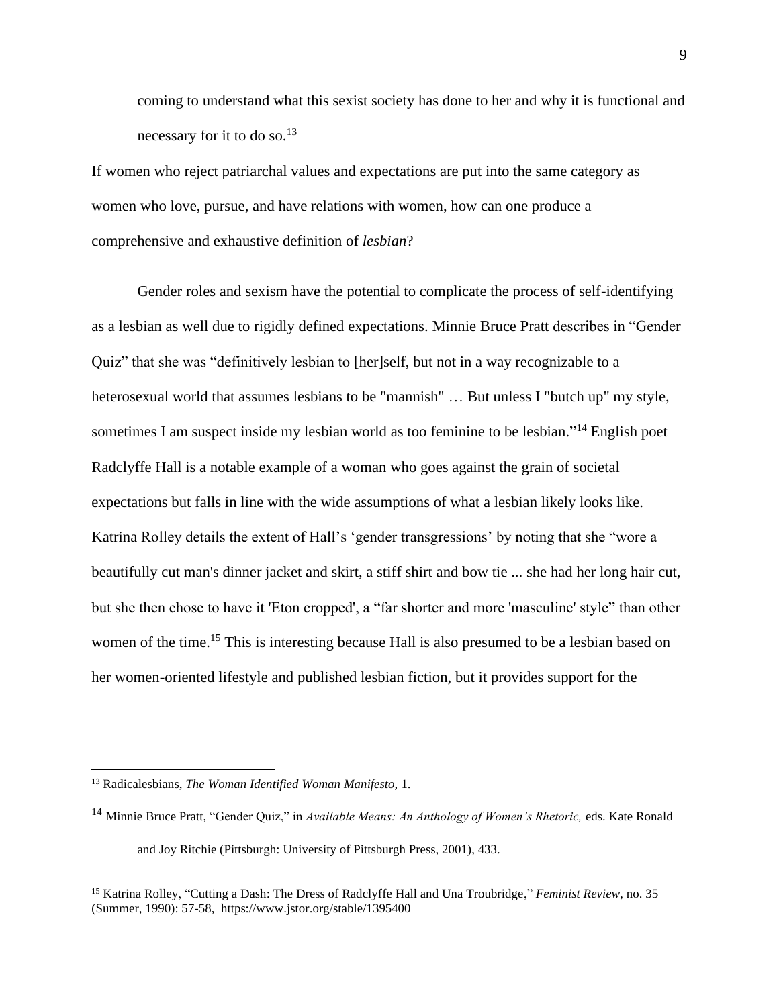coming to understand what this sexist society has done to her and why it is functional and necessary for it to do so.<sup>13</sup>

If women who reject patriarchal values and expectations are put into the same category as women who love, pursue, and have relations with women, how can one produce a comprehensive and exhaustive definition of *lesbian*?

Gender roles and sexism have the potential to complicate the process of self-identifying as a lesbian as well due to rigidly defined expectations. Minnie Bruce Pratt describes in "Gender Quiz" that she was "definitively lesbian to [her]self, but not in a way recognizable to a heterosexual world that assumes lesbians to be "mannish" ... But unless I "butch up" my style, sometimes I am suspect inside my lesbian world as too feminine to be lesbian."<sup>14</sup> English poet Radclyffe Hall is a notable example of a woman who goes against the grain of societal expectations but falls in line with the wide assumptions of what a lesbian likely looks like. Katrina Rolley details the extent of Hall's 'gender transgressions' by noting that she "wore a beautifully cut man's dinner jacket and skirt, a stiff shirt and bow tie ... she had her long hair cut, but she then chose to have it 'Eton cropped', a "far shorter and more 'masculine' style" than other women of the time.<sup>15</sup> This is interesting because Hall is also presumed to be a lesbian based on her women-oriented lifestyle and published lesbian fiction, but it provides support for the

<sup>13</sup> Radicalesbians, *The Woman Identified Woman Manifesto,* 1.

<sup>14</sup> Minnie Bruce Pratt, "Gender Quiz," in *Available Means: An Anthology of Women's Rhetoric,* eds. Kate Ronald and Joy Ritchie (Pittsburgh: University of Pittsburgh Press, 2001), 433.

<sup>15</sup> Katrina Rolley, "Cutting a Dash: The Dress of Radclyffe Hall and Una Troubridge," *Feminist Review*, no. 35 (Summer, 1990): 57-58, https://www.jstor.org/stable/1395400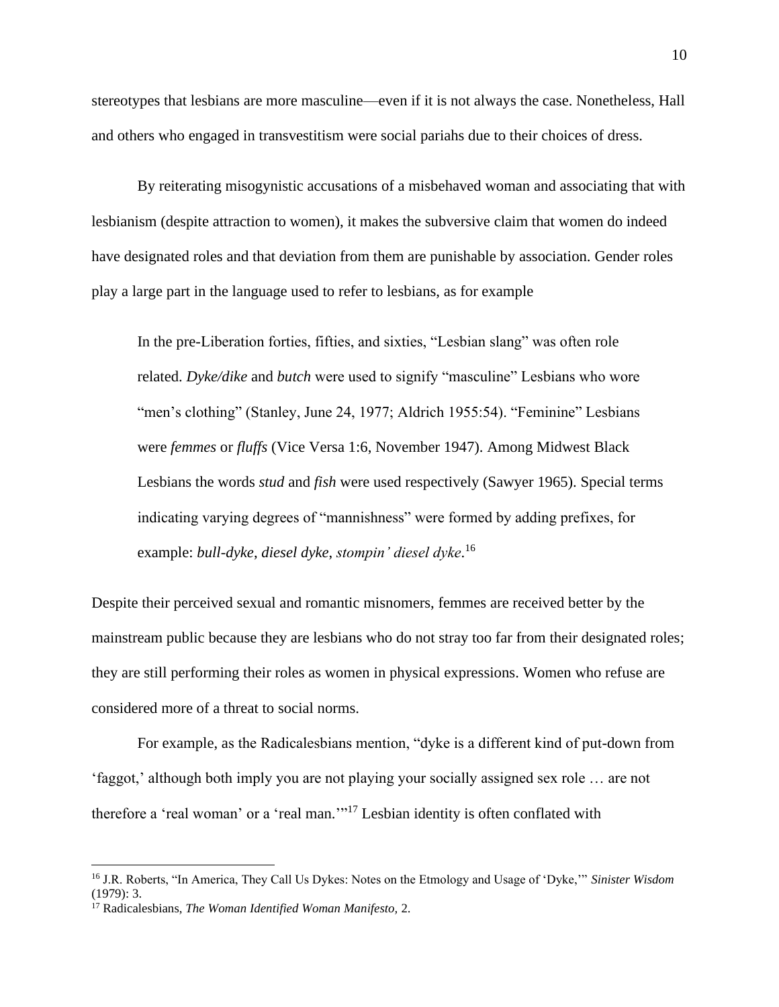stereotypes that lesbians are more masculine—even if it is not always the case. Nonetheless, Hall and others who engaged in transvestitism were social pariahs due to their choices of dress.

By reiterating misogynistic accusations of a misbehaved woman and associating that with lesbianism (despite attraction to women), it makes the subversive claim that women do indeed have designated roles and that deviation from them are punishable by association. Gender roles play a large part in the language used to refer to lesbians, as for example

In the pre-Liberation forties, fifties, and sixties, "Lesbian slang" was often role related. *Dyke/dike* and *butch* were used to signify "masculine" Lesbians who wore "men's clothing" (Stanley, June 24, 1977; Aldrich 1955:54). "Feminine" Lesbians were *femmes* or *fluffs* (Vice Versa 1:6, November 1947). Among Midwest Black Lesbians the words *stud* and *fish* were used respectively (Sawyer 1965). Special terms indicating varying degrees of "mannishness" were formed by adding prefixes, for example: *bull-dyke*, *diesel dyke*, *stompin' diesel dyke*. 16

Despite their perceived sexual and romantic misnomers, femmes are received better by the mainstream public because they are lesbians who do not stray too far from their designated roles; they are still performing their roles as women in physical expressions. Women who refuse are considered more of a threat to social norms.

For example, as the Radicalesbians mention, "dyke is a different kind of put-down from 'faggot,' although both imply you are not playing your socially assigned sex role … are not therefore a 'real woman' or a 'real man."<sup>17</sup> Lesbian identity is often conflated with

<sup>16</sup> J.R. Roberts, "In America, They Call Us Dykes: Notes on the Etmology and Usage of 'Dyke,'" *Sinister Wisdom* (1979): 3.

<sup>17</sup> Radicalesbians, *The Woman Identified Woman Manifesto,* 2.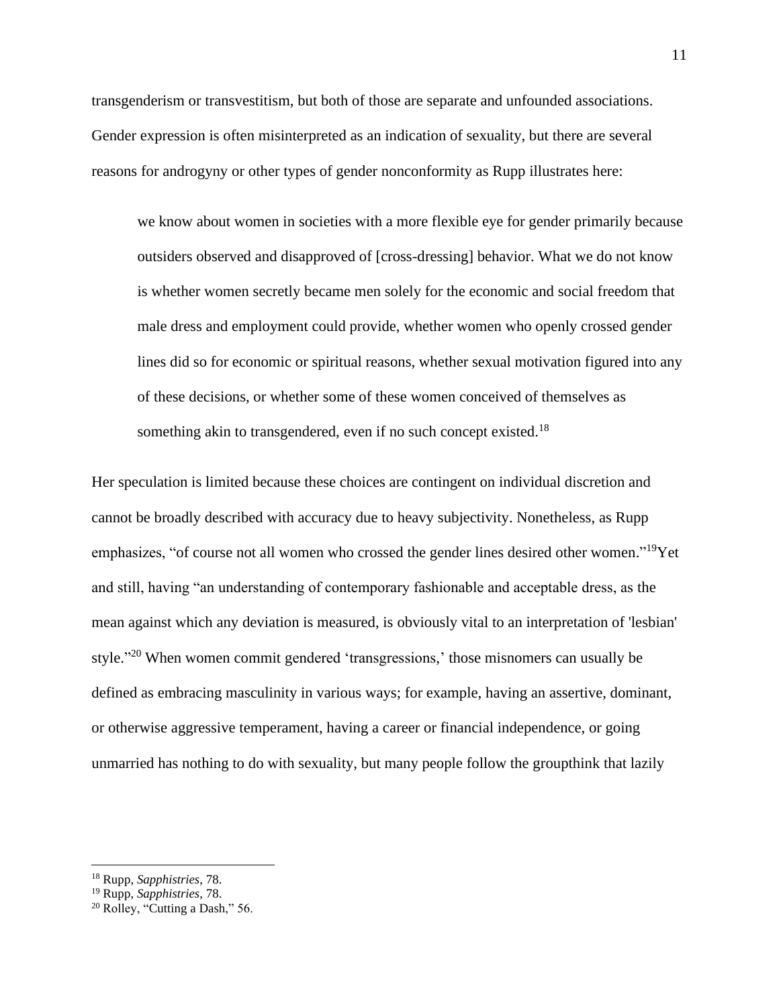transgenderism or transvestitism, but both of those are separate and unfounded associations. Gender expression is often misinterpreted as an indication of sexuality, but there are several reasons for androgyny or other types of gender nonconformity as Rupp illustrates here:

we know about women in societies with a more flexible eye for gender primarily because outsiders observed and disapproved of [cross-dressing] behavior. What we do not know is whether women secretly became men solely for the economic and social freedom that male dress and employment could provide, whether women who openly crossed gender lines did so for economic or spiritual reasons, whether sexual motivation figured into any of these decisions, or whether some of these women conceived of themselves as something akin to transgendered, even if no such concept existed.<sup>18</sup>

Her speculation is limited because these choices are contingent on individual discretion and cannot be broadly described with accuracy due to heavy subjectivity. Nonetheless, as Rupp emphasizes, "of course not all women who crossed the gender lines desired other women."<sup>19</sup>Yet and still, having "an understanding of contemporary fashionable and acceptable dress, as the mean against which any deviation is measured, is obviously vital to an interpretation of 'lesbian' style."<sup>20</sup> When women commit gendered 'transgressions,' those misnomers can usually be defined as embracing masculinity in various ways; for example, having an assertive, dominant, or otherwise aggressive temperament, having a career or financial independence, or going unmarried has nothing to do with sexuality, but many people follow the groupthink that lazily

<sup>19</sup> Rupp, *Sapphistries*, 78.

<sup>18</sup> Rupp, *Sapphistries*, 78.

<sup>20</sup> Rolley, "Cutting a Dash," 56.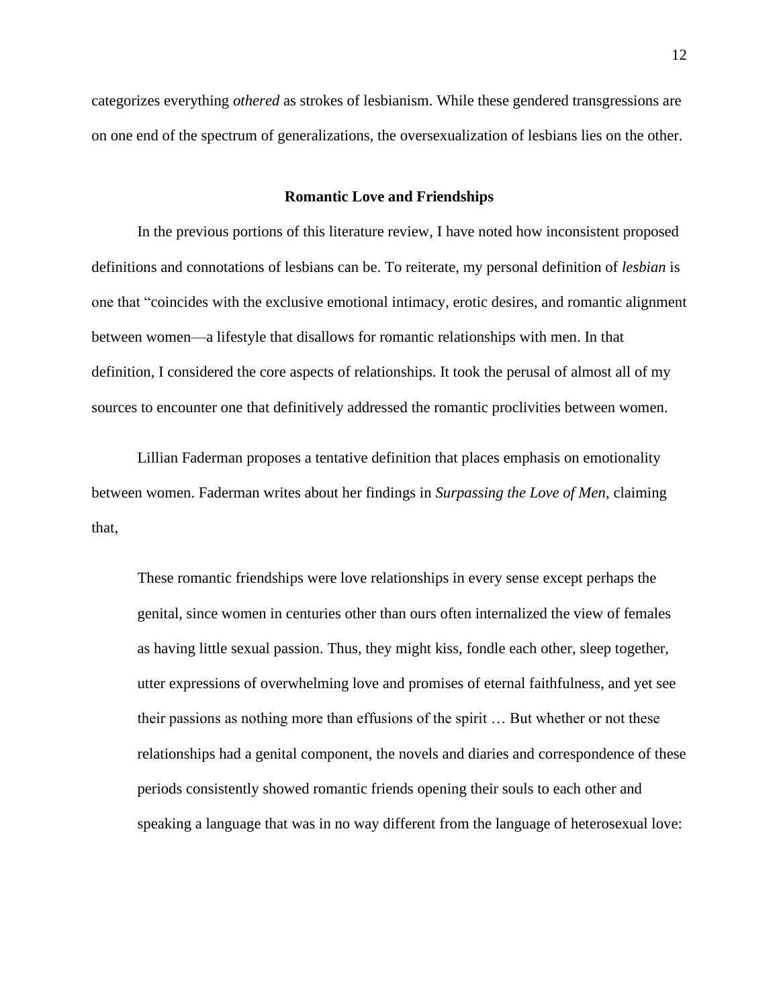categorizes everything *othered* as strokes of lesbianism. While these gendered transgressions are on one end of the spectrum of generalizations, the oversexualization of lesbians lies on the other.

#### **Romantic Love and Friendships**

<span id="page-12-0"></span>In the previous portions of this literature review, I have noted how inconsistent proposed definitions and connotations of lesbians can be. To reiterate, my personal definition of *lesbian* is one that "coincides with the exclusive emotional intimacy, erotic desires, and romantic alignment between women—a lifestyle that disallows for romantic relationships with men. In that definition, I considered the core aspects of relationships. It took the perusal of almost all of my sources to encounter one that definitively addressed the romantic proclivities between women.

Lillian Faderman proposes a tentative definition that places emphasis on emotionality between women. Faderman writes about her findings in *Surpassing the Love of Men*, claiming that,

These romantic friendships were love relationships in every sense except perhaps the genital, since women in centuries other than ours often internalized the view of females as having little sexual passion. Thus, they might kiss, fondle each other, sleep together, utter expressions of overwhelming love and promises of eternal faithfulness, and yet see their passions as nothing more than effusions of the spirit … But whether or not these relationships had a genital component, the novels and diaries and correspondence of these periods consistently showed romantic friends opening their souls to each other and speaking a language that was in no way different from the language of heterosexual love: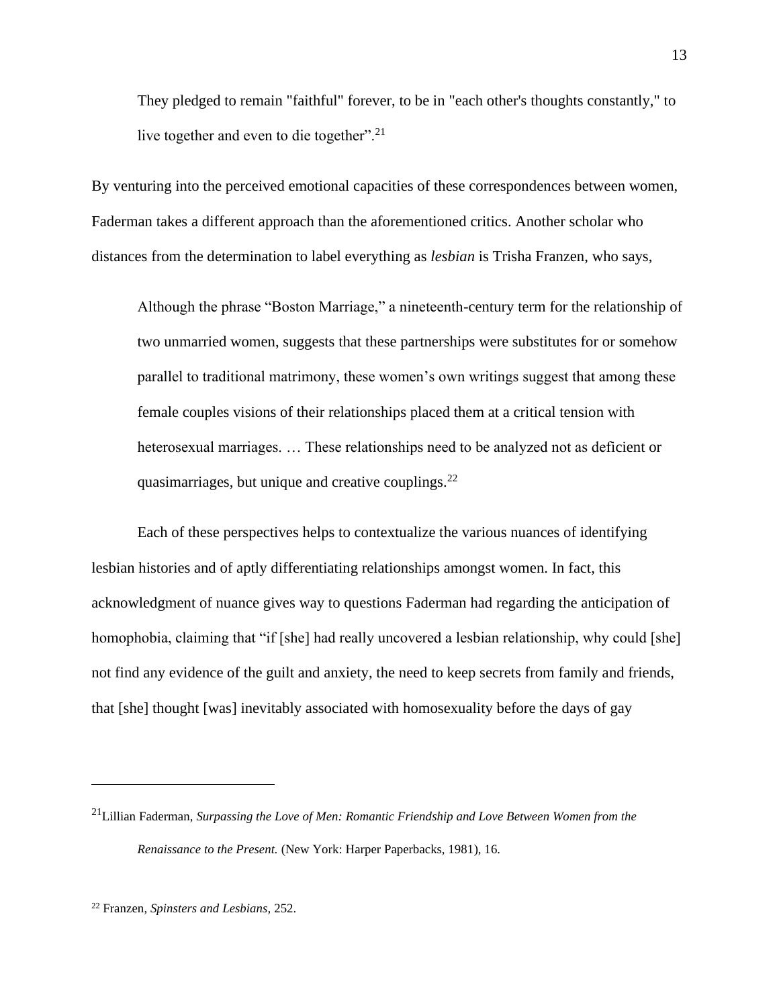They pledged to remain "faithful" forever, to be in "each other's thoughts constantly," to live together and even to die together".<sup>21</sup>

By venturing into the perceived emotional capacities of these correspondences between women, Faderman takes a different approach than the aforementioned critics. Another scholar who distances from the determination to label everything as *lesbian* is Trisha Franzen, who says,

Although the phrase "Boston Marriage," a nineteenth-century term for the relationship of two unmarried women, suggests that these partnerships were substitutes for or somehow parallel to traditional matrimony, these women's own writings suggest that among these female couples visions of their relationships placed them at a critical tension with heterosexual marriages. … These relationships need to be analyzed not as deficient or quasimarriages, but unique and creative couplings. $^{22}$ 

Each of these perspectives helps to contextualize the various nuances of identifying lesbian histories and of aptly differentiating relationships amongst women. In fact, this acknowledgment of nuance gives way to questions Faderman had regarding the anticipation of homophobia, claiming that "if [she] had really uncovered a lesbian relationship, why could [she] not find any evidence of the guilt and anxiety, the need to keep secrets from family and friends, that [she] thought [was] inevitably associated with homosexuality before the days of gay

<sup>21</sup>Lillian Faderman, *Surpassing the Love of Men: Romantic Friendship and Love Between Women from the Renaissance to the Present.* (New York: Harper Paperbacks, 1981), 16.

<sup>22</sup> Franzen, *Spinsters and Lesbians,* 252.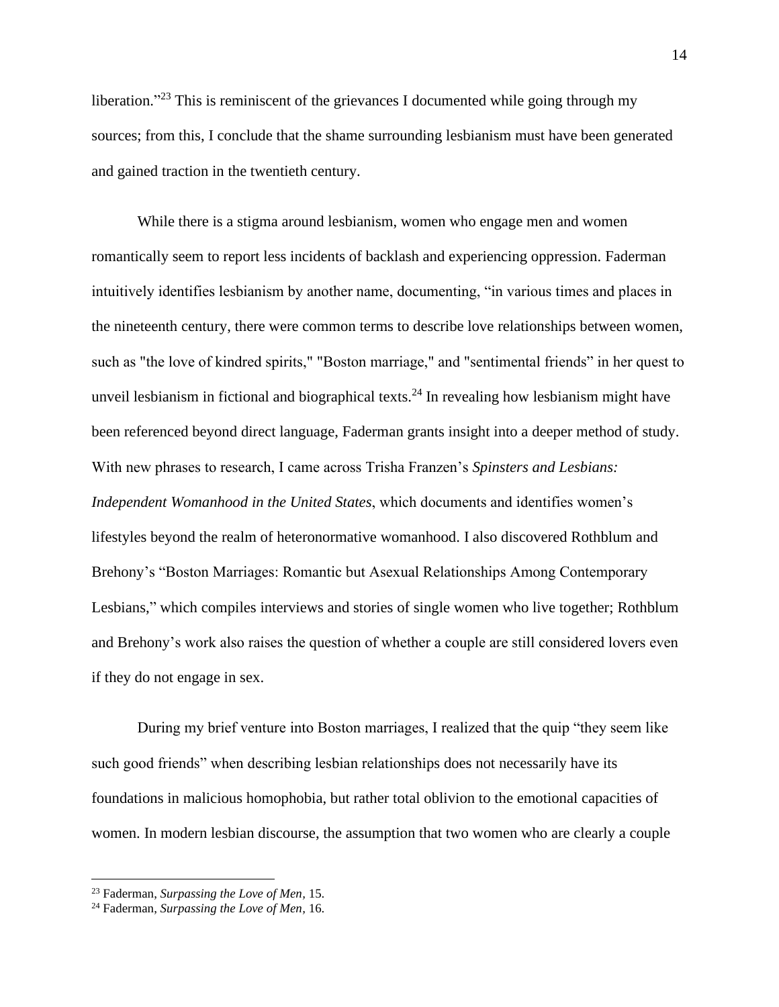liberation."<sup>23</sup> This is reminiscent of the grievances I documented while going through my sources; from this, I conclude that the shame surrounding lesbianism must have been generated and gained traction in the twentieth century.

While there is a stigma around lesbianism, women who engage men and women romantically seem to report less incidents of backlash and experiencing oppression. Faderman intuitively identifies lesbianism by another name, documenting, "in various times and places in the nineteenth century, there were common terms to describe love relationships between women, such as "the love of kindred spirits," "Boston marriage," and "sentimental friends" in her quest to unveil lesbianism in fictional and biographical texts.<sup>24</sup> In revealing how lesbianism might have been referenced beyond direct language, Faderman grants insight into a deeper method of study. With new phrases to research, I came across Trisha Franzen's *Spinsters and Lesbians: Independent Womanhood in the United States*, which documents and identifies women's lifestyles beyond the realm of heteronormative womanhood. I also discovered Rothblum and Brehony's "Boston Marriages: Romantic but Asexual Relationships Among Contemporary Lesbians," which compiles interviews and stories of single women who live together; Rothblum and Brehony's work also raises the question of whether a couple are still considered lovers even if they do not engage in sex.

During my brief venture into Boston marriages, I realized that the quip "they seem like such good friends" when describing lesbian relationships does not necessarily have its foundations in malicious homophobia, but rather total oblivion to the emotional capacities of women. In modern lesbian discourse, the assumption that two women who are clearly a couple

<sup>23</sup> Faderman, *Surpassing the Love of Men,* 15.

<sup>24</sup> Faderman, *Surpassing the Love of Men,* 16.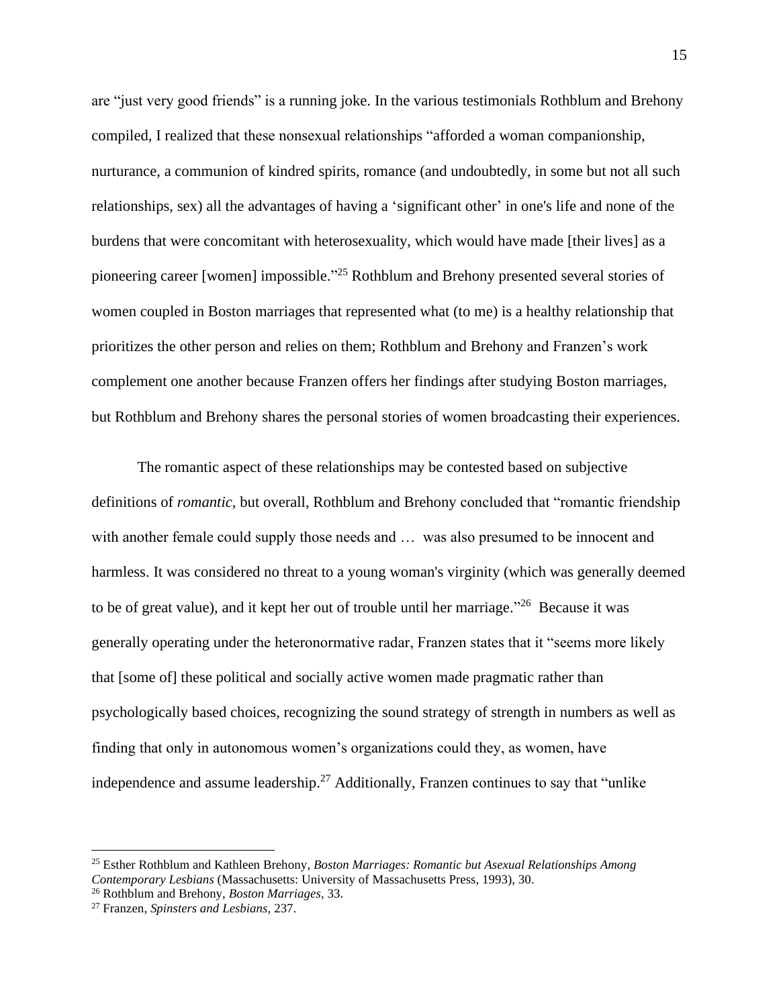are "just very good friends" is a running joke. In the various testimonials Rothblum and Brehony compiled, I realized that these nonsexual relationships "afforded a woman companionship, nurturance, a communion of kindred spirits, romance (and undoubtedly, in some but not all such relationships, sex) all the advantages of having a 'significant other' in one's life and none of the burdens that were concomitant with heterosexuality, which would have made [their lives] as a pioneering career [women] impossible."<sup>25</sup> Rothblum and Brehony presented several stories of women coupled in Boston marriages that represented what (to me) is a healthy relationship that prioritizes the other person and relies on them; Rothblum and Brehony and Franzen's work complement one another because Franzen offers her findings after studying Boston marriages, but Rothblum and Brehony shares the personal stories of women broadcasting their experiences.

The romantic aspect of these relationships may be contested based on subjective definitions of *romantic*, but overall, Rothblum and Brehony concluded that "romantic friendship with another female could supply those needs and ... was also presumed to be innocent and harmless. It was considered no threat to a young woman's virginity (which was generally deemed to be of great value), and it kept her out of trouble until her marriage."<sup>26</sup> Because it was generally operating under the heteronormative radar, Franzen states that it "seems more likely that [some of] these political and socially active women made pragmatic rather than psychologically based choices, recognizing the sound strategy of strength in numbers as well as finding that only in autonomous women's organizations could they, as women, have independence and assume leadership.<sup>27</sup> Additionally, Franzen continues to say that "unlike"

<sup>25</sup> Esther Rothblum and Kathleen Brehony, *Boston Marriages: Romantic but Asexual Relationships Among Contemporary Lesbians* (Massachusetts: University of Massachusetts Press, 1993), 30.

<sup>26</sup> Rothblum and Brehony, *Boston Marriages,* 33.

<sup>27</sup> Franzen, *Spinsters and Lesbians,* 237.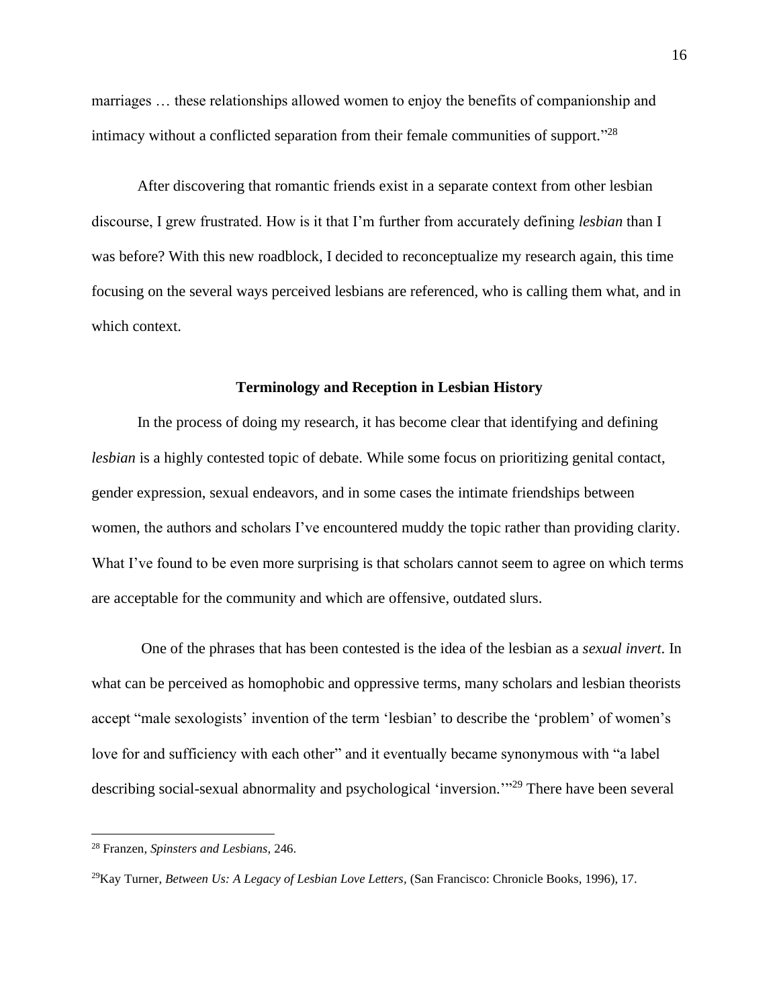marriages … these relationships allowed women to enjoy the benefits of companionship and intimacy without a conflicted separation from their female communities of support."<sup>28</sup>

After discovering that romantic friends exist in a separate context from other lesbian discourse, I grew frustrated. How is it that I'm further from accurately defining *lesbian* than I was before? With this new roadblock, I decided to reconceptualize my research again, this time focusing on the several ways perceived lesbians are referenced, who is calling them what, and in which context.

#### **Terminology and Reception in Lesbian History**

<span id="page-16-0"></span>In the process of doing my research, it has become clear that identifying and defining *lesbian* is a highly contested topic of debate. While some focus on prioritizing genital contact, gender expression, sexual endeavors, and in some cases the intimate friendships between women, the authors and scholars I've encountered muddy the topic rather than providing clarity. What I've found to be even more surprising is that scholars cannot seem to agree on which terms are acceptable for the community and which are offensive, outdated slurs.

One of the phrases that has been contested is the idea of the lesbian as a *sexual invert*. In what can be perceived as homophobic and oppressive terms, many scholars and lesbian theorists accept "male sexologists' invention of the term 'lesbian' to describe the 'problem' of women's love for and sufficiency with each other" and it eventually became synonymous with "a label describing social-sexual abnormality and psychological 'inversion."<sup>29</sup> There have been several

<sup>28</sup> Franzen, *Spinsters and Lesbians,* 246.

<sup>29</sup>Kay Turner, *Between Us: A Legacy of Lesbian Love Letters,* (San Francisco: Chronicle Books, 1996), 17.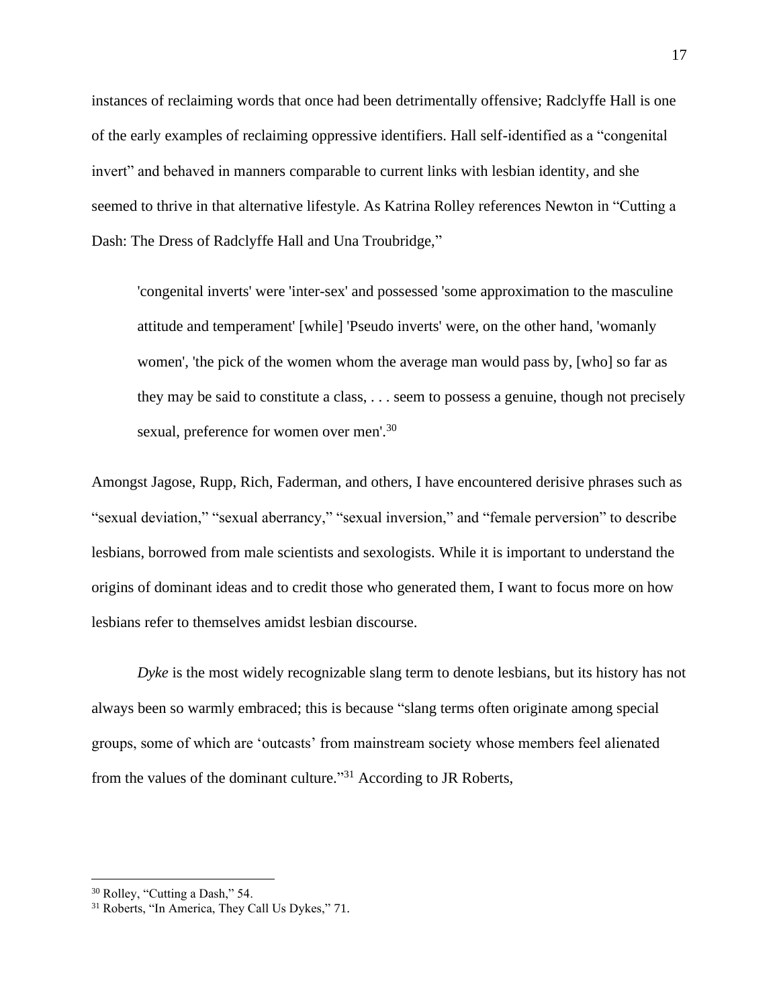instances of reclaiming words that once had been detrimentally offensive; Radclyffe Hall is one of the early examples of reclaiming oppressive identifiers. Hall self-identified as a "congenital invert" and behaved in manners comparable to current links with lesbian identity, and she seemed to thrive in that alternative lifestyle. As Katrina Rolley references Newton in "Cutting a Dash: The Dress of Radclyffe Hall and Una Troubridge,"

'congenital inverts' were 'inter-sex' and possessed 'some approximation to the masculine attitude and temperament' [while] 'Pseudo inverts' were, on the other hand, 'womanly women', 'the pick of the women whom the average man would pass by, [who] so far as they may be said to constitute a class, . . . seem to possess a genuine, though not precisely sexual, preference for women over men'.<sup>30</sup>

Amongst Jagose, Rupp, Rich, Faderman, and others, I have encountered derisive phrases such as "sexual deviation," "sexual aberrancy," "sexual inversion," and "female perversion" to describe lesbians, borrowed from male scientists and sexologists. While it is important to understand the origins of dominant ideas and to credit those who generated them, I want to focus more on how lesbians refer to themselves amidst lesbian discourse.

*Dyke* is the most widely recognizable slang term to denote lesbians, but its history has not always been so warmly embraced; this is because "slang terms often originate among special groups, some of which are 'outcasts' from mainstream society whose members feel alienated from the values of the dominant culture."<sup>31</sup> According to JR Roberts,

<sup>30</sup> Rolley, "Cutting a Dash," 54.

<sup>&</sup>lt;sup>31</sup> Roberts, "In America, They Call Us Dykes," 71.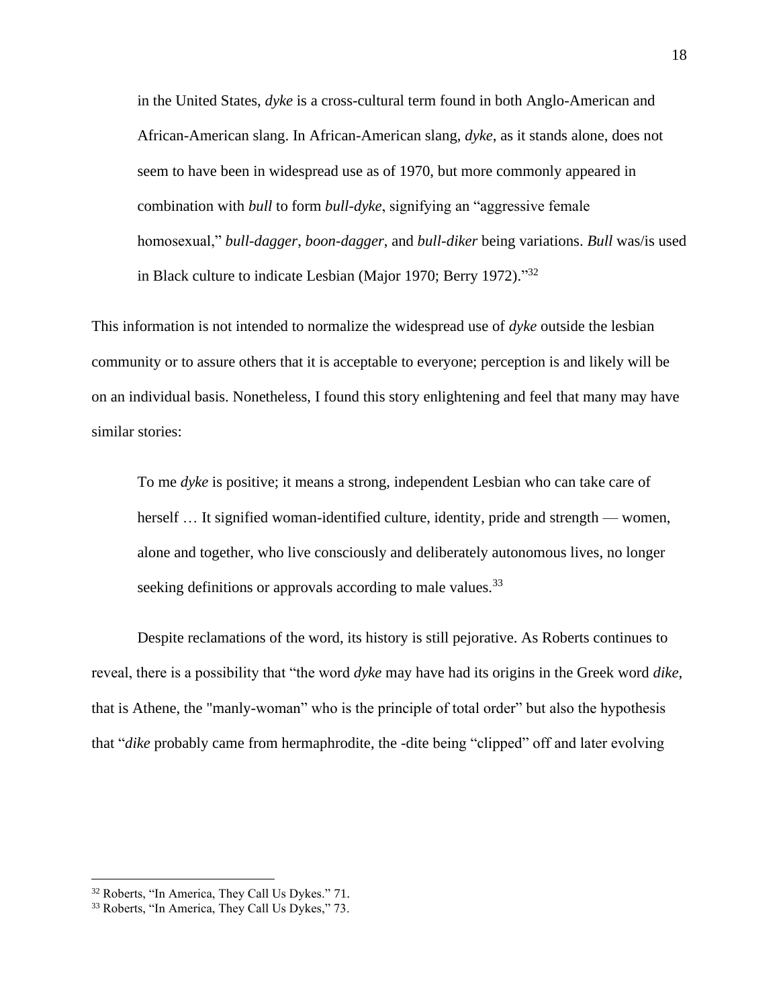in the United States, *dyke* is a cross-cultural term found in both Anglo-American and African-American slang. In African-American slang, *dyke*, as it stands alone, does not seem to have been in widespread use as of 1970, but more commonly appeared in combination with *bull* to form *bull-dyke*, signifying an "aggressive female homosexual," *bull-dagger*, *boon-dagger*, and *bull-diker* being variations. *Bull* was/is used in Black culture to indicate Lesbian (Major 1970; Berry 1972)."32

This information is not intended to normalize the widespread use of *dyke* outside the lesbian community or to assure others that it is acceptable to everyone; perception is and likely will be on an individual basis. Nonetheless, I found this story enlightening and feel that many may have similar stories:

To me *dyke* is positive; it means a strong, independent Lesbian who can take care of herself ... It signified woman-identified culture, identity, pride and strength — women, alone and together, who live consciously and deliberately autonomous lives, no longer seeking definitions or approvals according to male values.<sup>33</sup>

Despite reclamations of the word, its history is still pejorative. As Roberts continues to reveal, there is a possibility that "the word *dyke* may have had its origins in the Greek word *dike*, that is Athene, the "manly-woman" who is the principle of total order" but also the hypothesis that "*dike* probably came from hermaphrodite, the -dite being "clipped" off and later evolving

<sup>32</sup> Roberts, "In America, They Call Us Dykes." 71.

<sup>33</sup> Roberts, "In America, They Call Us Dykes," 73.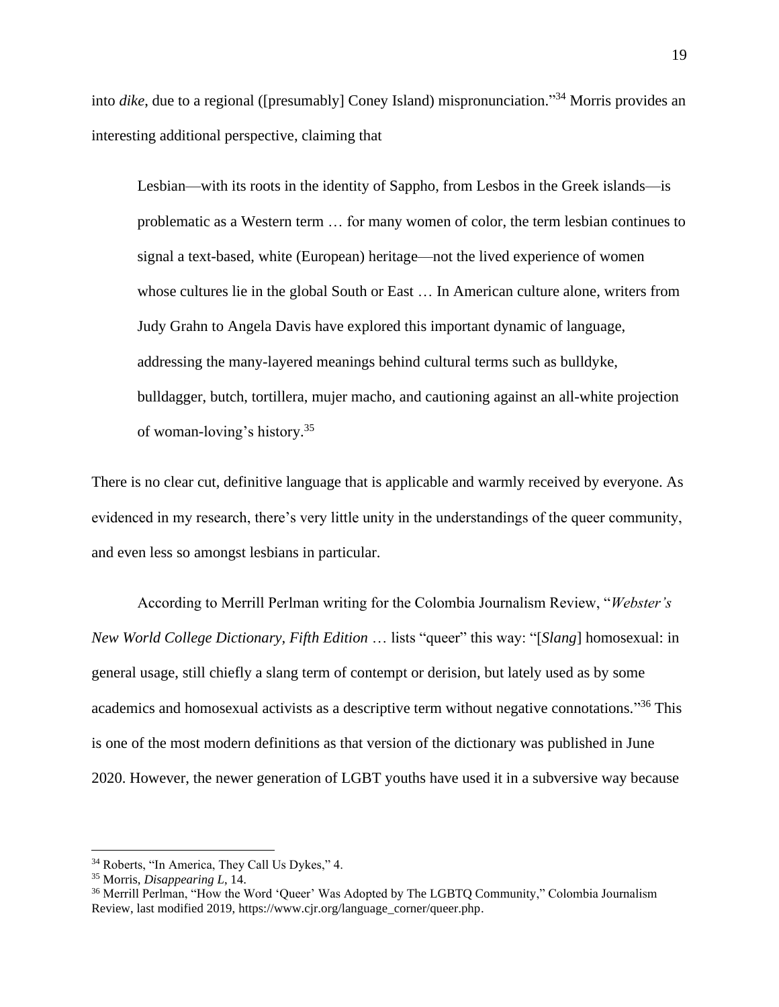into *dike*, due to a regional ([presumably] Coney Island) mispronunciation." <sup>34</sup> Morris provides an interesting additional perspective, claiming that

Lesbian—with its roots in the identity of Sappho, from Lesbos in the Greek islands—is problematic as a Western term … for many women of color, the term lesbian continues to signal a text-based, white (European) heritage—not the lived experience of women whose cultures lie in the global South or East … In American culture alone, writers from Judy Grahn to Angela Davis have explored this important dynamic of language, addressing the many-layered meanings behind cultural terms such as bulldyke, bulldagger, butch, tortillera, mujer macho, and cautioning against an all-white projection of woman-loving's history. 35

There is no clear cut, definitive language that is applicable and warmly received by everyone. As evidenced in my research, there's very little unity in the understandings of the queer community, and even less so amongst lesbians in particular.

According to Merrill Perlman writing for the Colombia Journalism Review, "*Webster's New World College Dictionary, Fifth Edition* … lists "queer" this way: "[*Slang*] homosexual: in general usage, still chiefly a slang term of contempt or derision, but lately used as by some academics and homosexual activists as a descriptive term without negative connotations."<sup>36</sup> This is one of the most modern definitions as that version of the dictionary was published in June 2020. However, the newer generation of LGBT youths have used it in a subversive way because

<sup>34</sup> Roberts, "In America, They Call Us Dykes," 4.

<sup>35</sup> Morris, *Disappearing L*, 14.

<sup>&</sup>lt;sup>36</sup> Merrill Perlman, "How the Word 'Queer' Was Adopted by The LGBTQ Community," Colombia Journalism Review, last modified 2019, https://www.cjr.org/language\_corner/queer.php.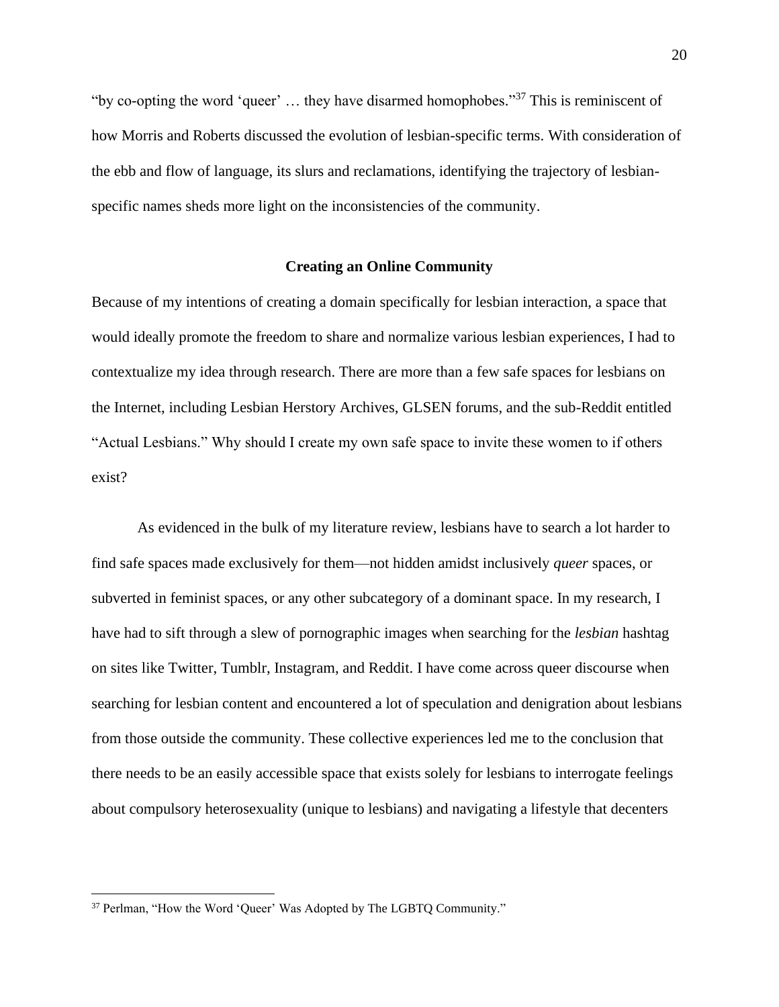"by co-opting the word 'queer'  $\dots$  they have disarmed homophobes."<sup>37</sup> This is reminiscent of how Morris and Roberts discussed the evolution of lesbian-specific terms. With consideration of the ebb and flow of language, its slurs and reclamations, identifying the trajectory of lesbianspecific names sheds more light on the inconsistencies of the community.

#### **Creating an Online Community**

<span id="page-20-0"></span>Because of my intentions of creating a domain specifically for lesbian interaction, a space that would ideally promote the freedom to share and normalize various lesbian experiences, I had to contextualize my idea through research. There are more than a few safe spaces for lesbians on the Internet, including Lesbian Herstory Archives, GLSEN forums, and the sub-Reddit entitled "Actual Lesbians." Why should I create my own safe space to invite these women to if others exist?

As evidenced in the bulk of my literature review, lesbians have to search a lot harder to find safe spaces made exclusively for them—not hidden amidst inclusively *queer* spaces, or subverted in feminist spaces, or any other subcategory of a dominant space. In my research, I have had to sift through a slew of pornographic images when searching for the *lesbian* hashtag on sites like Twitter, Tumblr, Instagram, and Reddit. I have come across queer discourse when searching for lesbian content and encountered a lot of speculation and denigration about lesbians from those outside the community. These collective experiences led me to the conclusion that there needs to be an easily accessible space that exists solely for lesbians to interrogate feelings about compulsory heterosexuality (unique to lesbians) and navigating a lifestyle that decenters

<sup>&</sup>lt;sup>37</sup> Perlman, "How the Word 'Queer' Was Adopted by The LGBTQ Community."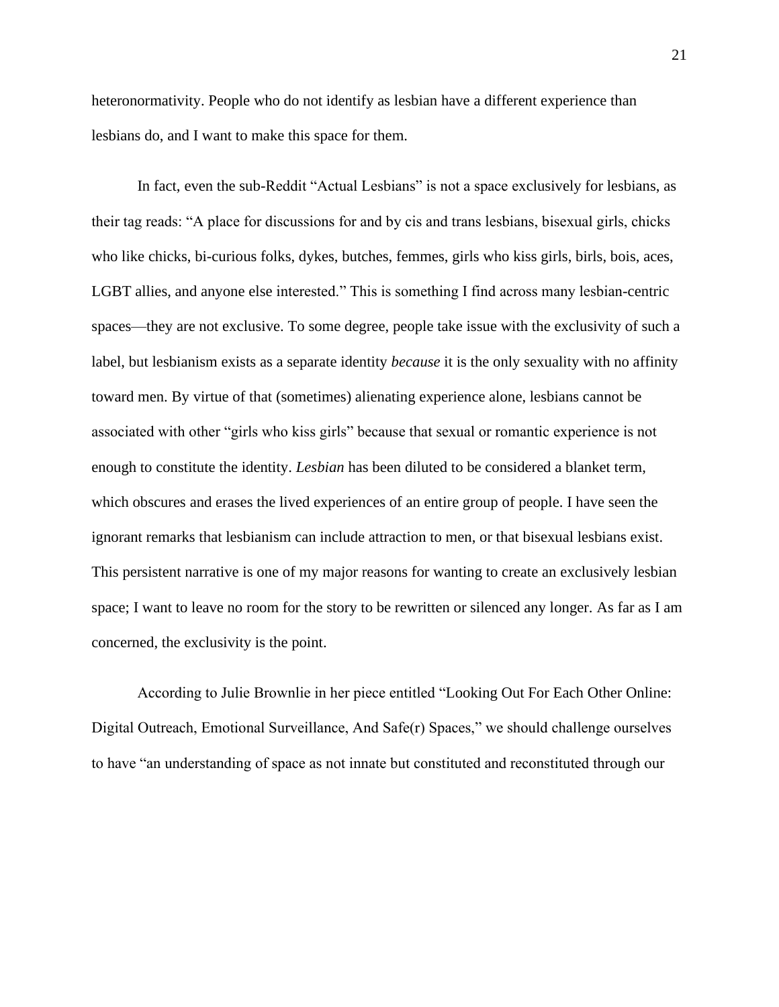heteronormativity. People who do not identify as lesbian have a different experience than lesbians do, and I want to make this space for them.

In fact, even the sub-Reddit "Actual Lesbians" is not a space exclusively for lesbians, as their tag reads: "A place for discussions for and by cis and trans lesbians, bisexual girls, chicks who like chicks, bi-curious folks, dykes, butches, femmes, girls who kiss girls, birls, bois, aces, LGBT allies, and anyone else interested." This is something I find across many lesbian-centric spaces—they are not exclusive. To some degree, people take issue with the exclusivity of such a label, but lesbianism exists as a separate identity *because* it is the only sexuality with no affinity toward men. By virtue of that (sometimes) alienating experience alone, lesbians cannot be associated with other "girls who kiss girls" because that sexual or romantic experience is not enough to constitute the identity. *Lesbian* has been diluted to be considered a blanket term, which obscures and erases the lived experiences of an entire group of people. I have seen the ignorant remarks that lesbianism can include attraction to men, or that bisexual lesbians exist. This persistent narrative is one of my major reasons for wanting to create an exclusively lesbian space; I want to leave no room for the story to be rewritten or silenced any longer. As far as I am concerned, the exclusivity is the point.

According to Julie Brownlie in her piece entitled "Looking Out For Each Other Online: Digital Outreach, Emotional Surveillance, And Safe(r) Spaces," we should challenge ourselves to have "an understanding of space as not innate but constituted and reconstituted through our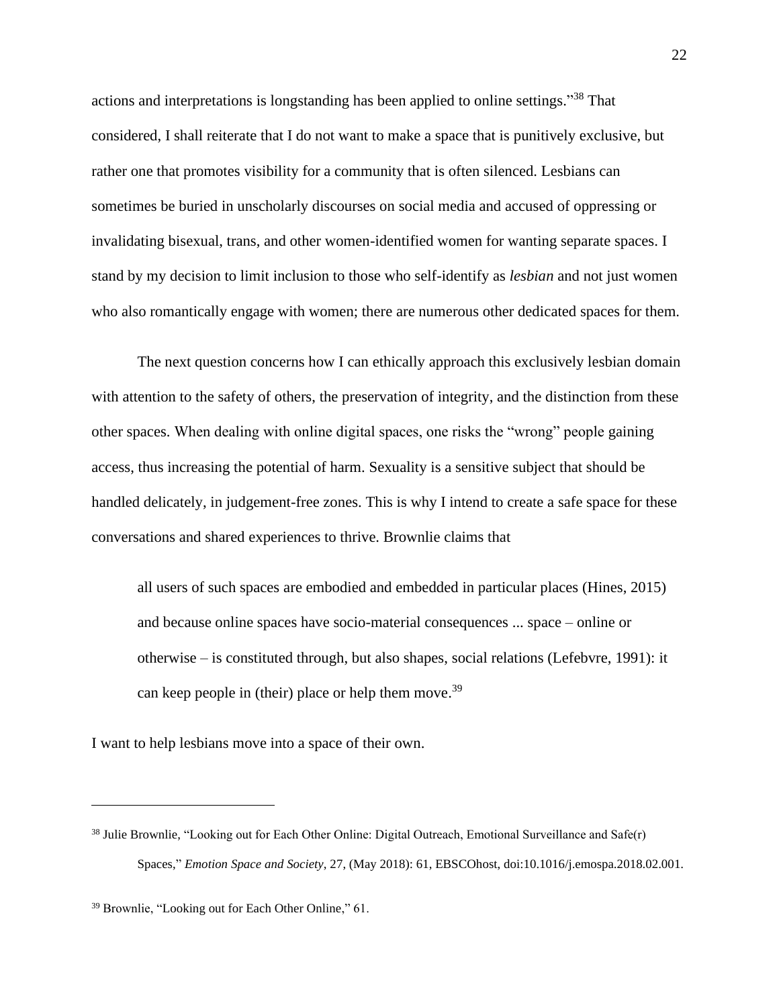actions and interpretations is longstanding has been applied to online settings."<sup>38</sup> That considered, I shall reiterate that I do not want to make a space that is punitively exclusive, but rather one that promotes visibility for a community that is often silenced. Lesbians can sometimes be buried in unscholarly discourses on social media and accused of oppressing or invalidating bisexual, trans, and other women-identified women for wanting separate spaces. I stand by my decision to limit inclusion to those who self-identify as *lesbian* and not just women who also romantically engage with women; there are numerous other dedicated spaces for them.

The next question concerns how I can ethically approach this exclusively lesbian domain with attention to the safety of others, the preservation of integrity, and the distinction from these other spaces. When dealing with online digital spaces, one risks the "wrong" people gaining access, thus increasing the potential of harm. Sexuality is a sensitive subject that should be handled delicately, in judgement-free zones. This is why I intend to create a safe space for these conversations and shared experiences to thrive. Brownlie claims that

all users of such spaces are embodied and embedded in particular places (Hines, 2015) and because online spaces have socio-material consequences ... space – online or otherwise – is constituted through, but also shapes, social relations (Lefebvre, 1991): it can keep people in (their) place or help them move.<sup>39</sup>

I want to help lesbians move into a space of their own.

<sup>&</sup>lt;sup>38</sup> Julie Brownlie, "Looking out for Each Other Online: Digital Outreach, Emotional Surveillance and Safe(r) Spaces," *Emotion Space and Society*, 27, (May 2018): 61, EBSCOhost, doi:10.1016/j.emospa.2018.02.001.

<sup>39</sup> Brownlie, "Looking out for Each Other Online," 61.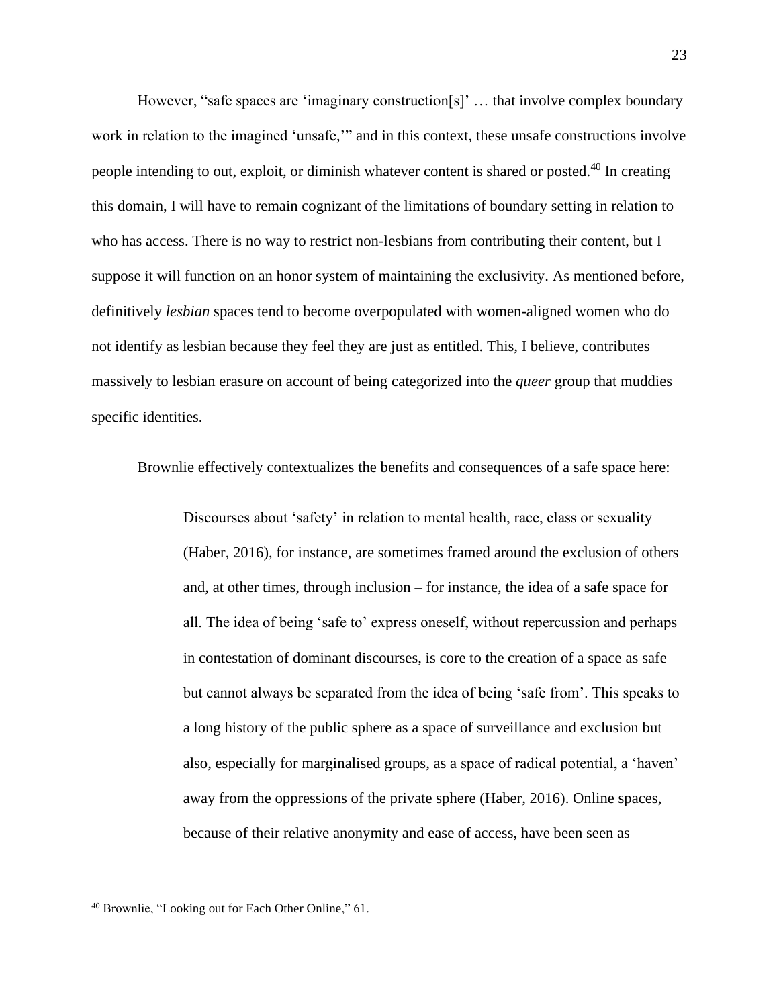However, "safe spaces are 'imaginary construction[s]' … that involve complex boundary work in relation to the imagined 'unsafe,'" and in this context, these unsafe constructions involve people intending to out, exploit, or diminish whatever content is shared or posted.<sup>40</sup> In creating this domain, I will have to remain cognizant of the limitations of boundary setting in relation to who has access. There is no way to restrict non-lesbians from contributing their content, but I suppose it will function on an honor system of maintaining the exclusivity. As mentioned before, definitively *lesbian* spaces tend to become overpopulated with women-aligned women who do not identify as lesbian because they feel they are just as entitled. This, I believe, contributes massively to lesbian erasure on account of being categorized into the *queer* group that muddies specific identities.

Brownlie effectively contextualizes the benefits and consequences of a safe space here:

Discourses about 'safety' in relation to mental health, race, class or sexuality (Haber, 2016), for instance, are sometimes framed around the exclusion of others and, at other times, through inclusion – for instance, the idea of a safe space for all. The idea of being 'safe to' express oneself, without repercussion and perhaps in contestation of dominant discourses, is core to the creation of a space as safe but cannot always be separated from the idea of being 'safe from'. This speaks to a long history of the public sphere as a space of surveillance and exclusion but also, especially for marginalised groups, as a space of radical potential, a 'haven' away from the oppressions of the private sphere (Haber, 2016). Online spaces, because of their relative anonymity and ease of access, have been seen as

<sup>40</sup> Brownlie, "Looking out for Each Other Online," 61.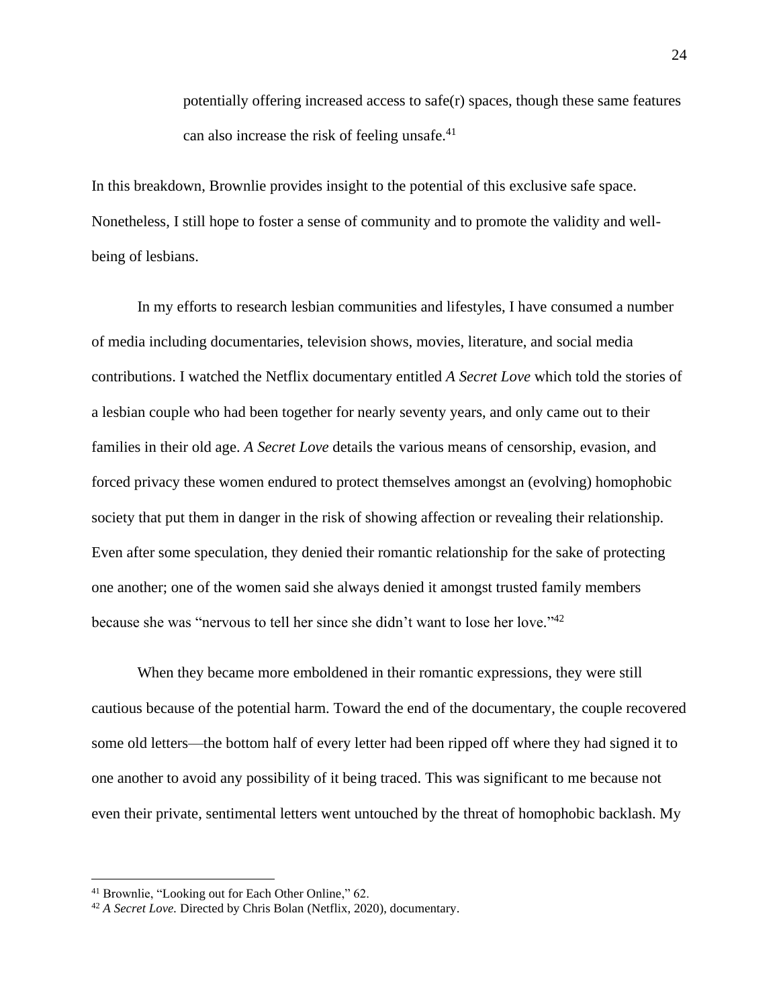potentially offering increased access to safe(r) spaces, though these same features can also increase the risk of feeling unsafe. $41$ 

In this breakdown, Brownlie provides insight to the potential of this exclusive safe space. Nonetheless, I still hope to foster a sense of community and to promote the validity and wellbeing of lesbians.

In my efforts to research lesbian communities and lifestyles, I have consumed a number of media including documentaries, television shows, movies, literature, and social media contributions. I watched the Netflix documentary entitled *A Secret Love* which told the stories of a lesbian couple who had been together for nearly seventy years, and only came out to their families in their old age. *A Secret Love* details the various means of censorship, evasion, and forced privacy these women endured to protect themselves amongst an (evolving) homophobic society that put them in danger in the risk of showing affection or revealing their relationship. Even after some speculation, they denied their romantic relationship for the sake of protecting one another; one of the women said she always denied it amongst trusted family members because she was "nervous to tell her since she didn't want to lose her love."<sup>42</sup>

When they became more emboldened in their romantic expressions, they were still cautious because of the potential harm. Toward the end of the documentary, the couple recovered some old letters—the bottom half of every letter had been ripped off where they had signed it to one another to avoid any possibility of it being traced. This was significant to me because not even their private, sentimental letters went untouched by the threat of homophobic backlash. My

<sup>41</sup> Brownlie, "Looking out for Each Other Online," 62.

<sup>42</sup> *A Secret Love.* Directed by Chris Bolan (Netflix, 2020), documentary.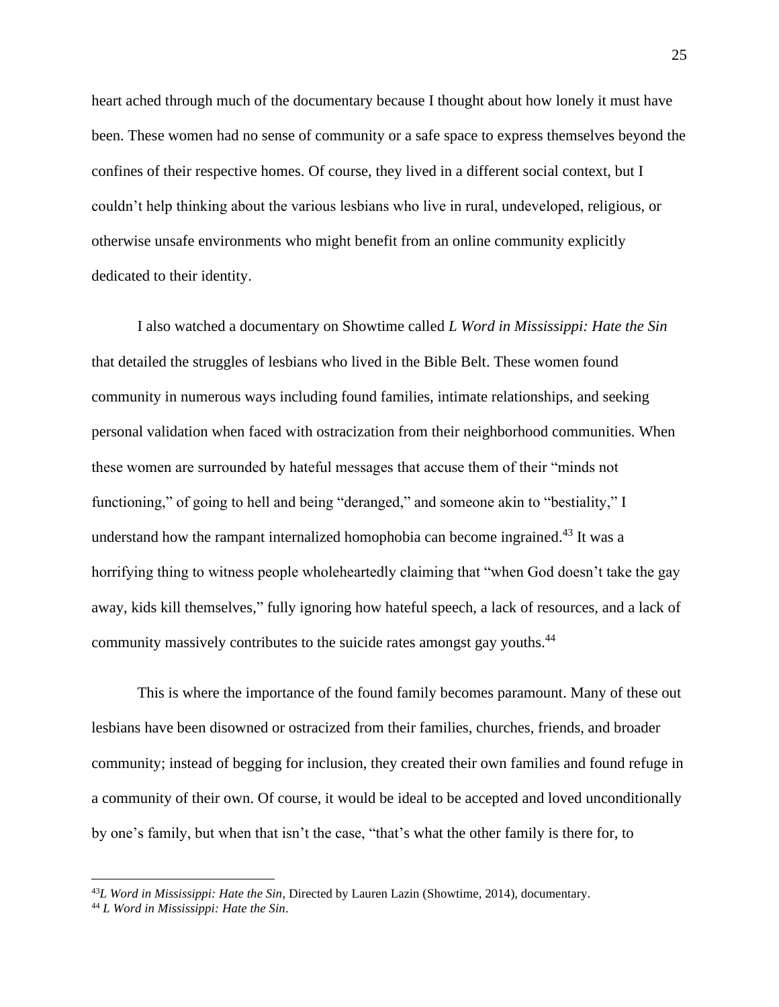heart ached through much of the documentary because I thought about how lonely it must have been. These women had no sense of community or a safe space to express themselves beyond the confines of their respective homes. Of course, they lived in a different social context, but I couldn't help thinking about the various lesbians who live in rural, undeveloped, religious, or otherwise unsafe environments who might benefit from an online community explicitly dedicated to their identity.

I also watched a documentary on Showtime called *L Word in Mississippi: Hate the Sin* that detailed the struggles of lesbians who lived in the Bible Belt. These women found community in numerous ways including found families, intimate relationships, and seeking personal validation when faced with ostracization from their neighborhood communities. When these women are surrounded by hateful messages that accuse them of their "minds not functioning," of going to hell and being "deranged," and someone akin to "bestiality," I understand how the rampant internalized homophobia can become ingrained.<sup>43</sup> It was a horrifying thing to witness people wholeheartedly claiming that "when God doesn't take the gay away, kids kill themselves," fully ignoring how hateful speech, a lack of resources, and a lack of community massively contributes to the suicide rates amongst gay youths.<sup>44</sup>

This is where the importance of the found family becomes paramount. Many of these out lesbians have been disowned or ostracized from their families, churches, friends, and broader community; instead of begging for inclusion, they created their own families and found refuge in a community of their own. Of course, it would be ideal to be accepted and loved unconditionally by one's family, but when that isn't the case, "that's what the other family is there for, to

<sup>43</sup>*L Word in Mississippi: Hate the Sin*, Directed by Lauren Lazin (Showtime, 2014), documentary.

<sup>44</sup> *L Word in Mississippi: Hate the Sin*.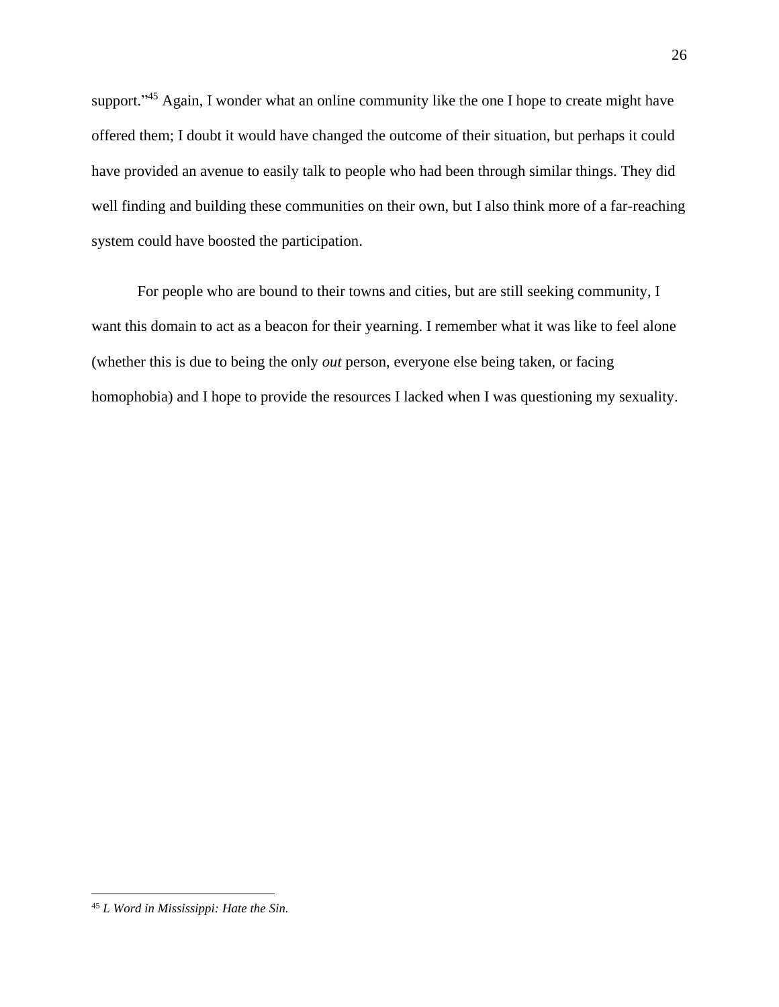support."<sup>45</sup> Again, I wonder what an online community like the one I hope to create might have offered them; I doubt it would have changed the outcome of their situation, but perhaps it could have provided an avenue to easily talk to people who had been through similar things. They did well finding and building these communities on their own, but I also think more of a far-reaching system could have boosted the participation.

For people who are bound to their towns and cities, but are still seeking community, I want this domain to act as a beacon for their yearning. I remember what it was like to feel alone (whether this is due to being the only *out* person, everyone else being taken, or facing homophobia) and I hope to provide the resources I lacked when I was questioning my sexuality.

<sup>45</sup> *L Word in Mississippi: Hate the Sin.*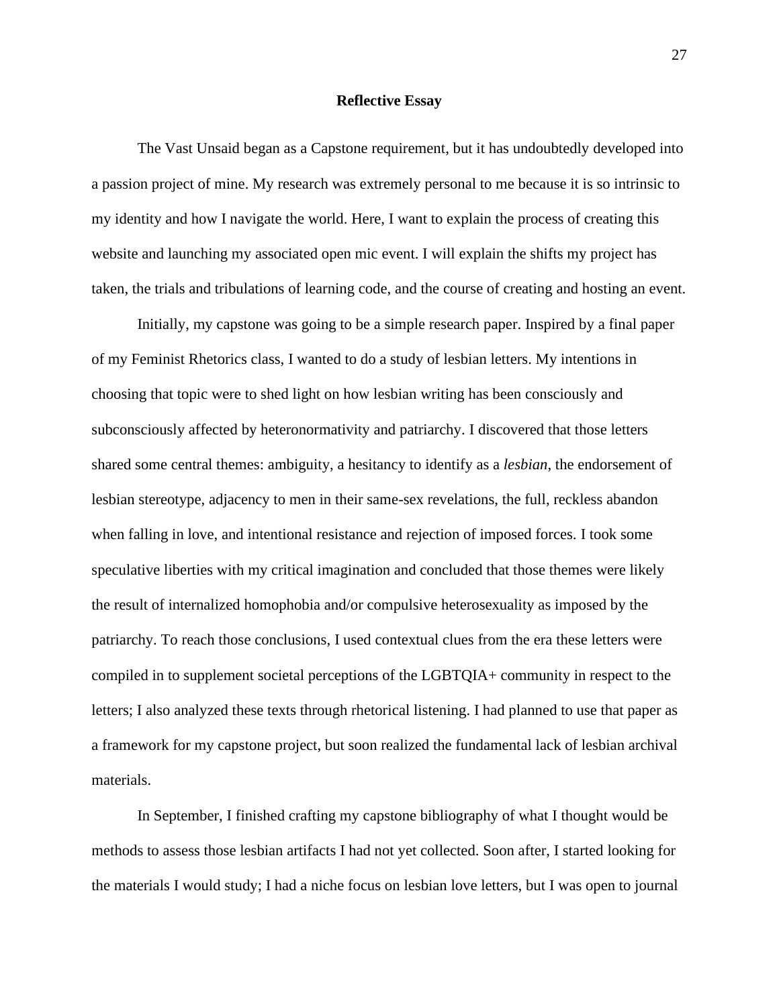#### **Reflective Essay**

<span id="page-27-0"></span>The Vast Unsaid began as a Capstone requirement, but it has undoubtedly developed into a passion project of mine. My research was extremely personal to me because it is so intrinsic to my identity and how I navigate the world. Here, I want to explain the process of creating this website and launching my associated open mic event. I will explain the shifts my project has taken, the trials and tribulations of learning code, and the course of creating and hosting an event.

Initially, my capstone was going to be a simple research paper. Inspired by a final paper of my Feminist Rhetorics class, I wanted to do a study of lesbian letters. My intentions in choosing that topic were to shed light on how lesbian writing has been consciously and subconsciously affected by heteronormativity and patriarchy. I discovered that those letters shared some central themes: ambiguity, a hesitancy to identify as a *lesbian*, the endorsement of lesbian stereotype, adjacency to men in their same-sex revelations, the full, reckless abandon when falling in love, and intentional resistance and rejection of imposed forces. I took some speculative liberties with my critical imagination and concluded that those themes were likely the result of internalized homophobia and/or compulsive heterosexuality as imposed by the patriarchy. To reach those conclusions, I used contextual clues from the era these letters were compiled in to supplement societal perceptions of the LGBTQIA+ community in respect to the letters; I also analyzed these texts through rhetorical listening. I had planned to use that paper as a framework for my capstone project, but soon realized the fundamental lack of lesbian archival materials.

In September, I finished crafting my capstone bibliography of what I thought would be methods to assess those lesbian artifacts I had not yet collected. Soon after, I started looking for the materials I would study; I had a niche focus on lesbian love letters, but I was open to journal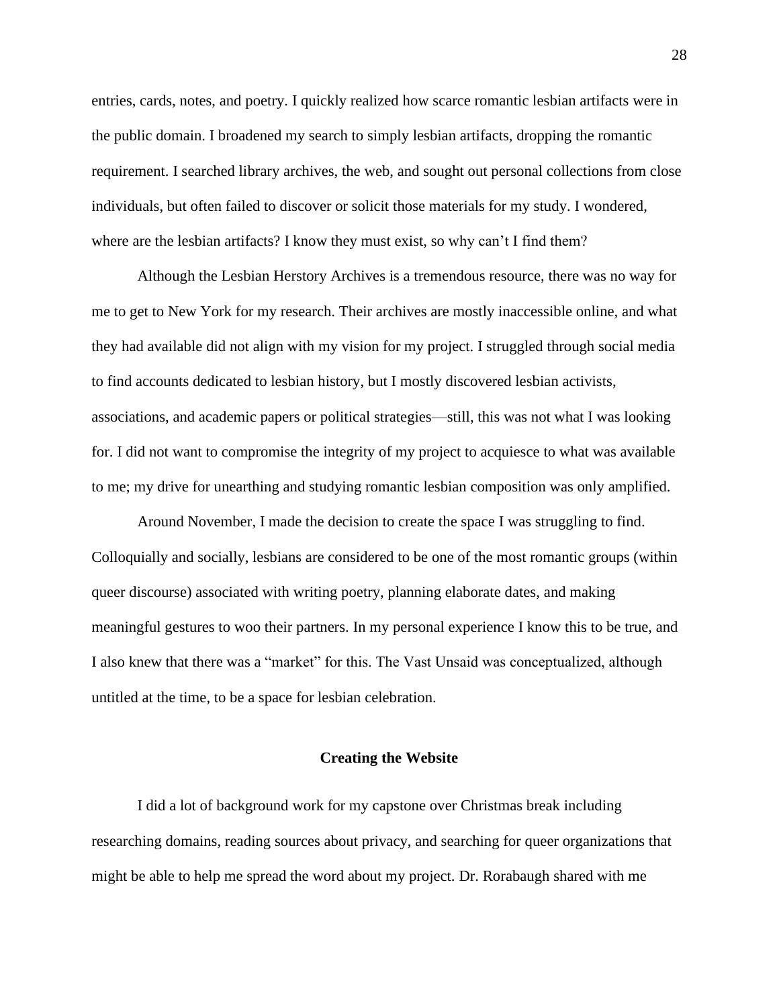entries, cards, notes, and poetry. I quickly realized how scarce romantic lesbian artifacts were in the public domain. I broadened my search to simply lesbian artifacts, dropping the romantic requirement. I searched library archives, the web, and sought out personal collections from close individuals, but often failed to discover or solicit those materials for my study. I wondered, where are the lesbian artifacts? I know they must exist, so why can't I find them?

Although the Lesbian Herstory Archives is a tremendous resource, there was no way for me to get to New York for my research. Their archives are mostly inaccessible online, and what they had available did not align with my vision for my project. I struggled through social media to find accounts dedicated to lesbian history, but I mostly discovered lesbian activists, associations, and academic papers or political strategies—still, this was not what I was looking for. I did not want to compromise the integrity of my project to acquiesce to what was available to me; my drive for unearthing and studying romantic lesbian composition was only amplified.

Around November, I made the decision to create the space I was struggling to find. Colloquially and socially, lesbians are considered to be one of the most romantic groups (within queer discourse) associated with writing poetry, planning elaborate dates, and making meaningful gestures to woo their partners. In my personal experience I know this to be true, and I also knew that there was a "market" for this. The Vast Unsaid was conceptualized, although untitled at the time, to be a space for lesbian celebration.

#### **Creating the Website**

<span id="page-28-0"></span>I did a lot of background work for my capstone over Christmas break including researching domains, reading sources about privacy, and searching for queer organizations that might be able to help me spread the word about my project. Dr. Rorabaugh shared with me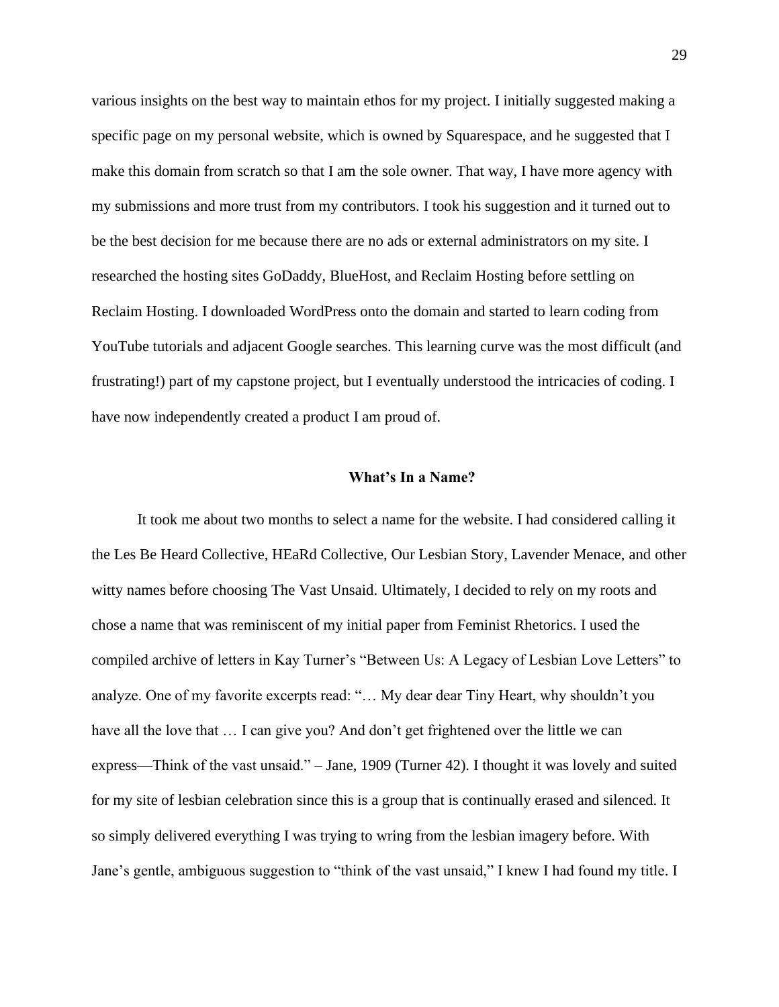various insights on the best way to maintain ethos for my project. I initially suggested making a specific page on my personal website, which is owned by Squarespace, and he suggested that I make this domain from scratch so that I am the sole owner. That way, I have more agency with my submissions and more trust from my contributors. I took his suggestion and it turned out to be the best decision for me because there are no ads or external administrators on my site. I researched the hosting sites GoDaddy, BlueHost, and Reclaim Hosting before settling on Reclaim Hosting. I downloaded WordPress onto the domain and started to learn coding from YouTube tutorials and adjacent Google searches. This learning curve was the most difficult (and frustrating!) part of my capstone project, but I eventually understood the intricacies of coding. I have now independently created a product I am proud of.

#### **What's In a Name?**

<span id="page-29-0"></span>It took me about two months to select a name for the website. I had considered calling it the Les Be Heard Collective, HEaRd Collective, Our Lesbian Story, Lavender Menace, and other witty names before choosing The Vast Unsaid. Ultimately, I decided to rely on my roots and chose a name that was reminiscent of my initial paper from Feminist Rhetorics. I used the compiled archive of letters in Kay Turner's "Between Us: A Legacy of Lesbian Love Letters" to analyze. One of my favorite excerpts read: "… My dear dear Tiny Heart, why shouldn't you have all the love that ... I can give you? And don't get frightened over the little we can express—Think of the vast unsaid." – Jane, 1909 (Turner 42). I thought it was lovely and suited for my site of lesbian celebration since this is a group that is continually erased and silenced. It so simply delivered everything I was trying to wring from the lesbian imagery before. With Jane's gentle, ambiguous suggestion to "think of the vast unsaid," I knew I had found my title. I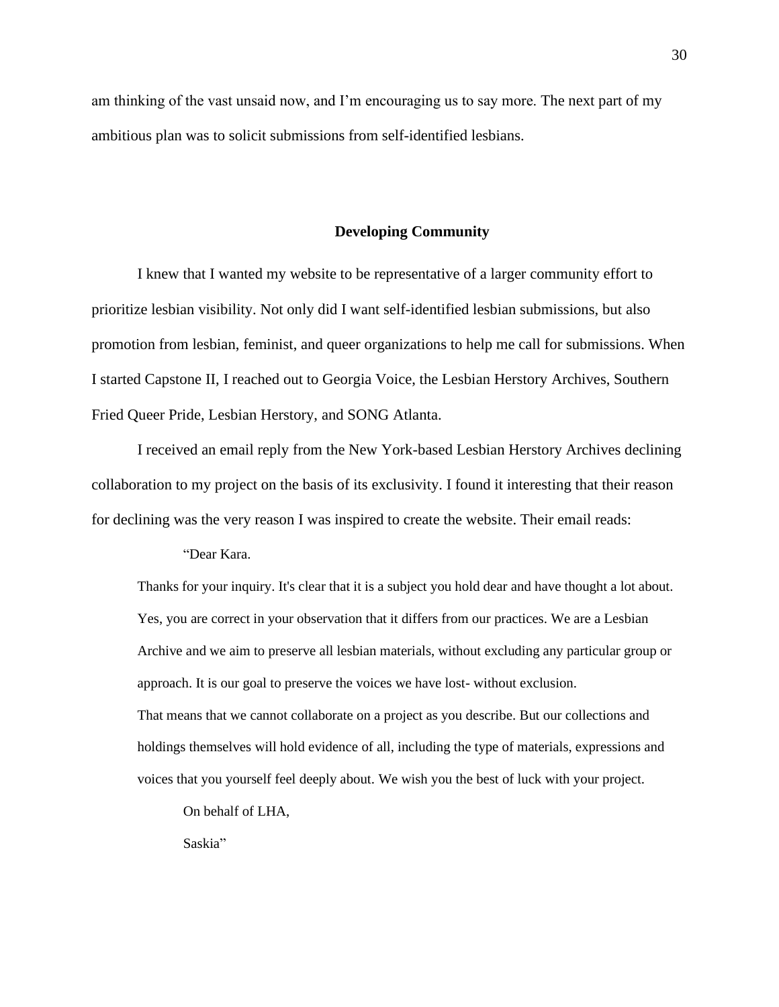am thinking of the vast unsaid now, and I'm encouraging us to say more. The next part of my ambitious plan was to solicit submissions from self-identified lesbians.

#### **Developing Community**

<span id="page-30-0"></span>I knew that I wanted my website to be representative of a larger community effort to prioritize lesbian visibility. Not only did I want self-identified lesbian submissions, but also promotion from lesbian, feminist, and queer organizations to help me call for submissions. When I started Capstone II, I reached out to Georgia Voice, the Lesbian Herstory Archives, Southern Fried Queer Pride, Lesbian Herstory, and SONG Atlanta.

I received an email reply from the New York-based Lesbian Herstory Archives declining collaboration to my project on the basis of its exclusivity. I found it interesting that their reason for declining was the very reason I was inspired to create the website. Their email reads:

"Dear Kara.

Thanks for your inquiry. It's clear that it is a subject you hold dear and have thought a lot about. Yes, you are correct in your observation that it differs from our practices. We are a Lesbian Archive and we aim to preserve all lesbian materials, without excluding any particular group or approach. It is our goal to preserve the voices we have lost- without exclusion. That means that we cannot collaborate on a project as you describe. But our collections and holdings themselves will hold evidence of all, including the type of materials, expressions and voices that you yourself feel deeply about. We wish you the best of luck with your project.

On behalf of LHA,

Saskia"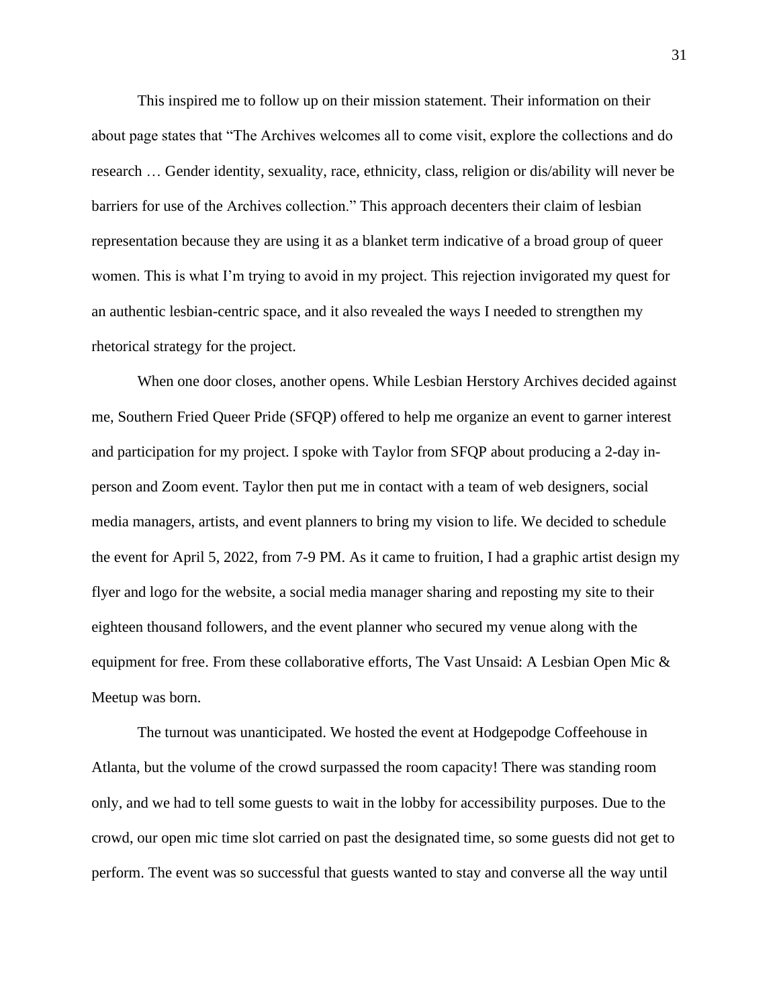This inspired me to follow up on their mission statement. Their information on their about page states that "The Archives welcomes all to come visit, explore the collections and do research … Gender identity, sexuality, race, ethnicity, class, religion or dis/ability will never be barriers for use of the Archives collection." This approach decenters their claim of lesbian representation because they are using it as a blanket term indicative of a broad group of queer women. This is what I'm trying to avoid in my project. This rejection invigorated my quest for an authentic lesbian-centric space, and it also revealed the ways I needed to strengthen my rhetorical strategy for the project.

When one door closes, another opens. While Lesbian Herstory Archives decided against me, Southern Fried Queer Pride (SFQP) offered to help me organize an event to garner interest and participation for my project. I spoke with Taylor from SFQP about producing a 2-day inperson and Zoom event. Taylor then put me in contact with a team of web designers, social media managers, artists, and event planners to bring my vision to life. We decided to schedule the event for April 5, 2022, from 7-9 PM. As it came to fruition, I had a graphic artist design my flyer and logo for the website, a social media manager sharing and reposting my site to their eighteen thousand followers, and the event planner who secured my venue along with the equipment for free. From these collaborative efforts, The Vast Unsaid: A Lesbian Open Mic & Meetup was born.

The turnout was unanticipated. We hosted the event at Hodgepodge Coffeehouse in Atlanta, but the volume of the crowd surpassed the room capacity! There was standing room only, and we had to tell some guests to wait in the lobby for accessibility purposes. Due to the crowd, our open mic time slot carried on past the designated time, so some guests did not get to perform. The event was so successful that guests wanted to stay and converse all the way until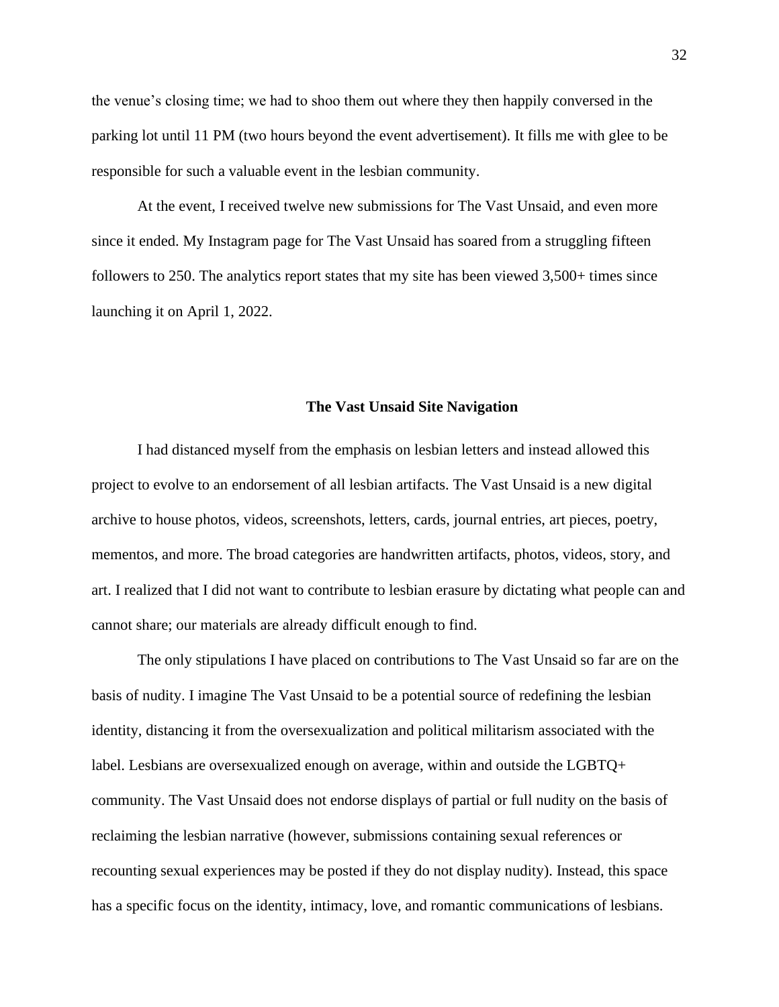the venue's closing time; we had to shoo them out where they then happily conversed in the parking lot until 11 PM (two hours beyond the event advertisement). It fills me with glee to be responsible for such a valuable event in the lesbian community.

At the event, I received twelve new submissions for The Vast Unsaid, and even more since it ended. My Instagram page for The Vast Unsaid has soared from a struggling fifteen followers to 250. The analytics report states that my site has been viewed 3,500+ times since launching it on April 1, 2022.

#### **The Vast Unsaid Site Navigation**

<span id="page-32-0"></span>I had distanced myself from the emphasis on lesbian letters and instead allowed this project to evolve to an endorsement of all lesbian artifacts. The Vast Unsaid is a new digital archive to house photos, videos, screenshots, letters, cards, journal entries, art pieces, poetry, mementos, and more. The broad categories are handwritten artifacts, photos, videos, story, and art. I realized that I did not want to contribute to lesbian erasure by dictating what people can and cannot share; our materials are already difficult enough to find.

The only stipulations I have placed on contributions to The Vast Unsaid so far are on the basis of nudity. I imagine The Vast Unsaid to be a potential source of redefining the lesbian identity, distancing it from the oversexualization and political militarism associated with the label. Lesbians are oversexualized enough on average, within and outside the LGBTQ+ community. The Vast Unsaid does not endorse displays of partial or full nudity on the basis of reclaiming the lesbian narrative (however, submissions containing sexual references or recounting sexual experiences may be posted if they do not display nudity). Instead, this space has a specific focus on the identity, intimacy, love, and romantic communications of lesbians.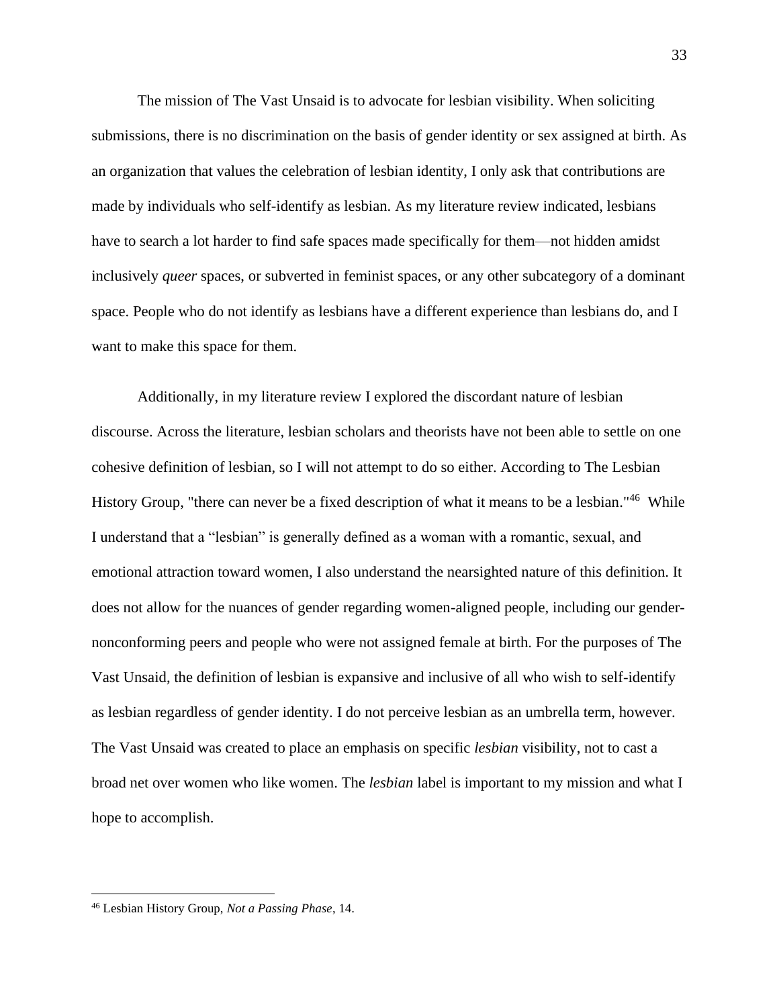The mission of The Vast Unsaid is to advocate for lesbian visibility. When soliciting submissions, there is no discrimination on the basis of gender identity or sex assigned at birth. As an organization that values the celebration of lesbian identity, I only ask that contributions are made by individuals who self-identify as lesbian. As my literature review indicated, lesbians have to search a lot harder to find safe spaces made specifically for them—not hidden amidst inclusively *queer* spaces, or subverted in feminist spaces, or any other subcategory of a dominant space. People who do not identify as lesbians have a different experience than lesbians do, and I want to make this space for them.

Additionally, in my literature review I explored the discordant nature of lesbian discourse. Across the literature, lesbian scholars and theorists have not been able to settle on one cohesive definition of lesbian, so I will not attempt to do so either. According to The Lesbian History Group, "there can never be a fixed description of what it means to be a lesbian."<sup>46</sup> While I understand that a "lesbian" is generally defined as a woman with a romantic, sexual, and emotional attraction toward women, I also understand the nearsighted nature of this definition. It does not allow for the nuances of gender regarding women-aligned people, including our gendernonconforming peers and people who were not assigned female at birth. For the purposes of The Vast Unsaid, the definition of lesbian is expansive and inclusive of all who wish to self-identify as lesbian regardless of gender identity. I do not perceive lesbian as an umbrella term, however. The Vast Unsaid was created to place an emphasis on specific *lesbian* visibility, not to cast a broad net over women who like women. The *lesbian* label is important to my mission and what I hope to accomplish.

<sup>46</sup> Lesbian History Group, *Not a Passing Phase*, 14.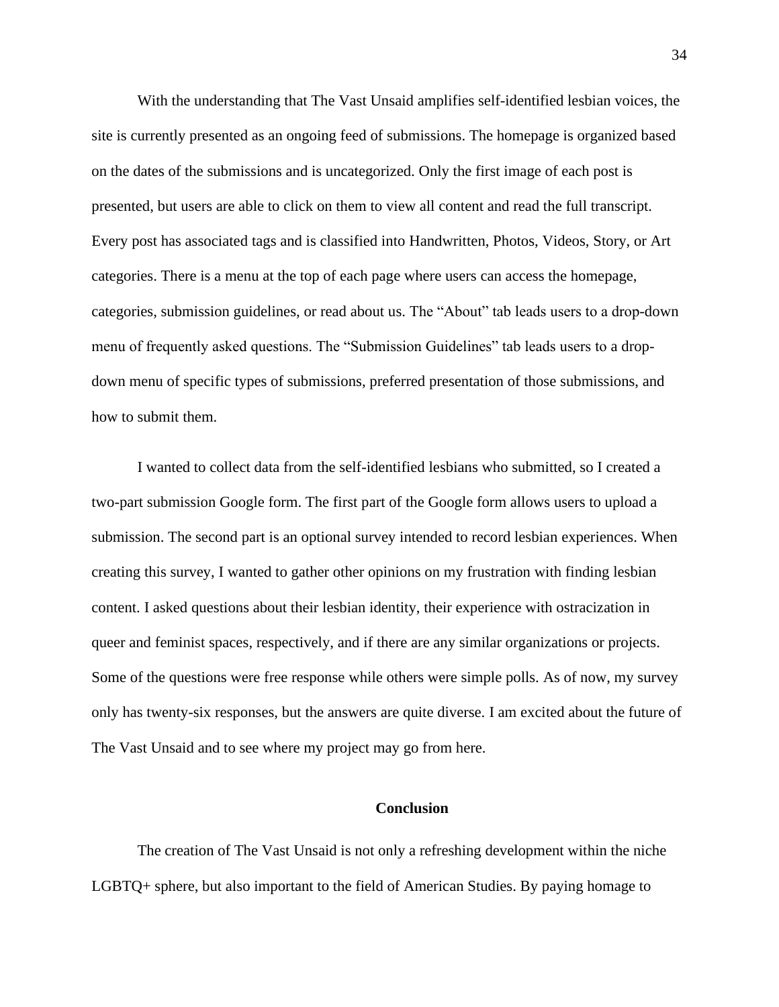With the understanding that The Vast Unsaid amplifies self-identified lesbian voices, the site is currently presented as an ongoing feed of submissions. The homepage is organized based on the dates of the submissions and is uncategorized. Only the first image of each post is presented, but users are able to click on them to view all content and read the full transcript. Every post has associated tags and is classified into Handwritten, Photos, Videos, Story, or Art categories. There is a menu at the top of each page where users can access the homepage, categories, submission guidelines, or read about us. The "About" tab leads users to a drop-down menu of frequently asked questions. The "Submission Guidelines" tab leads users to a dropdown menu of specific types of submissions, preferred presentation of those submissions, and how to submit them.

I wanted to collect data from the self-identified lesbians who submitted, so I created a two-part submission Google form. The first part of the Google form allows users to upload a submission. The second part is an optional survey intended to record lesbian experiences. When creating this survey, I wanted to gather other opinions on my frustration with finding lesbian content. I asked questions about their lesbian identity, their experience with ostracization in queer and feminist spaces, respectively, and if there are any similar organizations or projects. Some of the questions were free response while others were simple polls. As of now, my survey only has twenty-six responses, but the answers are quite diverse. I am excited about the future of The Vast Unsaid and to see where my project may go from here.

#### **Conclusion**

<span id="page-34-0"></span>The creation of The Vast Unsaid is not only a refreshing development within the niche LGBTQ+ sphere, but also important to the field of American Studies. By paying homage to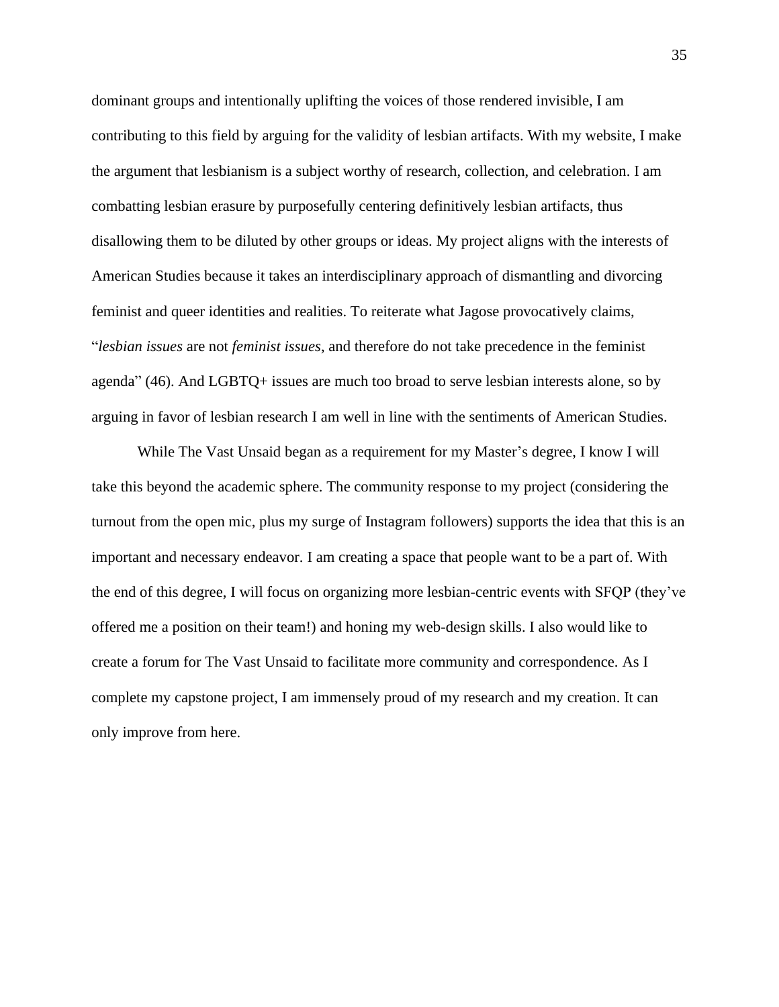dominant groups and intentionally uplifting the voices of those rendered invisible, I am contributing to this field by arguing for the validity of lesbian artifacts. With my website, I make the argument that lesbianism is a subject worthy of research, collection, and celebration. I am combatting lesbian erasure by purposefully centering definitively lesbian artifacts, thus disallowing them to be diluted by other groups or ideas. My project aligns with the interests of American Studies because it takes an interdisciplinary approach of dismantling and divorcing feminist and queer identities and realities. To reiterate what Jagose provocatively claims, "*lesbian issues* are not *feminist issues*, and therefore do not take precedence in the feminist agenda" (46). And LGBTQ+ issues are much too broad to serve lesbian interests alone, so by arguing in favor of lesbian research I am well in line with the sentiments of American Studies.

While The Vast Unsaid began as a requirement for my Master's degree, I know I will take this beyond the academic sphere. The community response to my project (considering the turnout from the open mic, plus my surge of Instagram followers) supports the idea that this is an important and necessary endeavor. I am creating a space that people want to be a part of. With the end of this degree, I will focus on organizing more lesbian-centric events with SFQP (they've offered me a position on their team!) and honing my web-design skills. I also would like to create a forum for The Vast Unsaid to facilitate more community and correspondence. As I complete my capstone project, I am immensely proud of my research and my creation. It can only improve from here.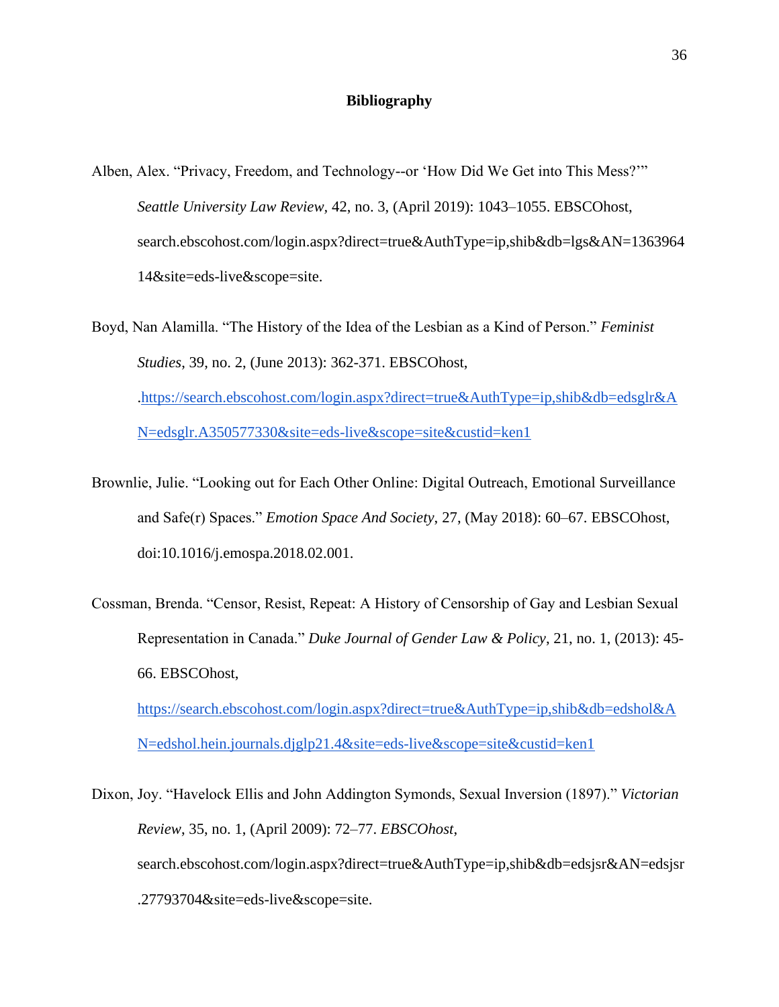#### **Bibliography**

Alben, Alex. "Privacy, Freedom, and Technology--or 'How Did We Get into This Mess?'" *Seattle University Law Review,* 42, no. 3, (April 2019): 1043–1055. EBSCOhost, search.ebscohost.com/login.aspx?direct=true&AuthType=ip,shib&db=lgs&AN=1363964 14&site=eds-live&scope=site.

Boyd, Nan Alamilla. "The History of the Idea of the Lesbian as a Kind of Person." *Feminist Studies*, 39, no. 2, (June 2013): 362-371. EBSCOhost, [.https://search.ebscohost.com/login.aspx?direct=true&AuthType=ip,shib&db=edsglr&A](https://search.ebscohost.com/login.aspx?direct=true&AuthType=ip,shib&db=edsglr&AN=edsglr.A350577330&site=eds-live&scope=site&custid=ken1) [N=edsglr.A350577330&site=eds-live&scope=site&custid=ken1](https://search.ebscohost.com/login.aspx?direct=true&AuthType=ip,shib&db=edsglr&AN=edsglr.A350577330&site=eds-live&scope=site&custid=ken1)

- Brownlie, Julie. "Looking out for Each Other Online: Digital Outreach, Emotional Surveillance and Safe(r) Spaces." *Emotion Space And Society*, 27, (May 2018): 60–67. EBSCOhost, doi:10.1016/j.emospa.2018.02.001.
- Cossman, Brenda. "Censor, Resist, Repeat: A History of Censorship of Gay and Lesbian Sexual Representation in Canada." *Duke Journal of Gender Law & Policy*, 21, no. 1, (2013): 45- 66. EBSCOhost[,](https://search.ebscohost.com/login.aspx?direct=true&AuthType=ip,shib&db=edshol&AN=edshol.hein.journals.djglp21.4&site=eds-live&scope=site&custid=ken1)

[https://search.ebscohost.com/login.aspx?direct=true&AuthType=ip,shib&db=edshol&A](https://search.ebscohost.com/login.aspx?direct=true&AuthType=ip,shib&db=edshol&AN=edshol.hein.journals.djglp21.4&site=eds-live&scope=site&custid=ken1) [N=edshol.hein.journals.djglp21.4&site=eds-live&scope=site&custid=ken1](https://search.ebscohost.com/login.aspx?direct=true&AuthType=ip,shib&db=edshol&AN=edshol.hein.journals.djglp21.4&site=eds-live&scope=site&custid=ken1)

Dixon, Joy. "Havelock Ellis and John Addington Symonds, Sexual Inversion (1897)." *Victorian Review*, 35, no. 1, (April 2009): 72–77. *EBSCOhost*, search.ebscohost.com/login.aspx?direct=true&AuthType=ip,shib&db=edsjsr&AN=edsjsr .27793704&site=eds-live&scope=site.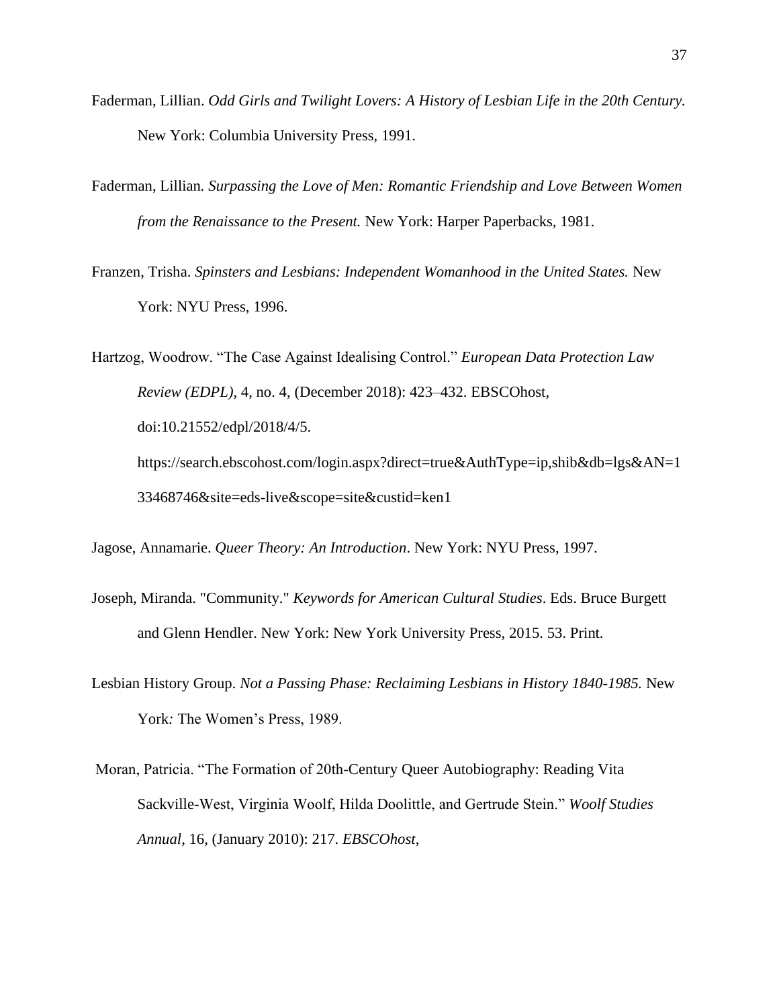- Faderman, Lillian. *Odd Girls and Twilight Lovers: A History of Lesbian Life in the 20th Century.*  New York: Columbia University Press, 1991.
- Faderman, Lillian*. Surpassing the Love of Men: Romantic Friendship and Love Between Women from the Renaissance to the Present.* New York: Harper Paperbacks, 1981.
- Franzen, Trisha. *Spinsters and Lesbians: Independent Womanhood in the United States.* New York: NYU Press, 1996.

Hartzog, Woodrow. "The Case Against Idealising Control." *European Data Protection Law Review (EDPL),* 4, no. 4, (December 2018): 423–432. EBSCOhost, doi:10.21552/edpl/2018/4/5. https://search.ebscohost.com/login.aspx?direct=true&AuthType=ip,shib&db=lgs&AN=1

Jagose, Annamarie. *Queer Theory: An Introduction*. New York: NYU Press, 1997.

33468746&site=eds-live&scope=site&custid=ken1

- Joseph, Miranda. "Community." *Keywords for American Cultural Studies*. Eds. Bruce Burgett and Glenn Hendler. New York: New York University Press, 2015. 53. Print.
- Lesbian History Group. *Not a Passing Phase: Reclaiming Lesbians in History 1840-1985.* New York*:* The Women's Press, 1989.
- Moran, Patricia. "The Formation of 20th-Century Queer Autobiography: Reading Vita Sackville-West, Virginia Woolf, Hilda Doolittle, and Gertrude Stein." *Woolf Studies Annual*, 16, (January 2010): 217. *EBSCOhost*,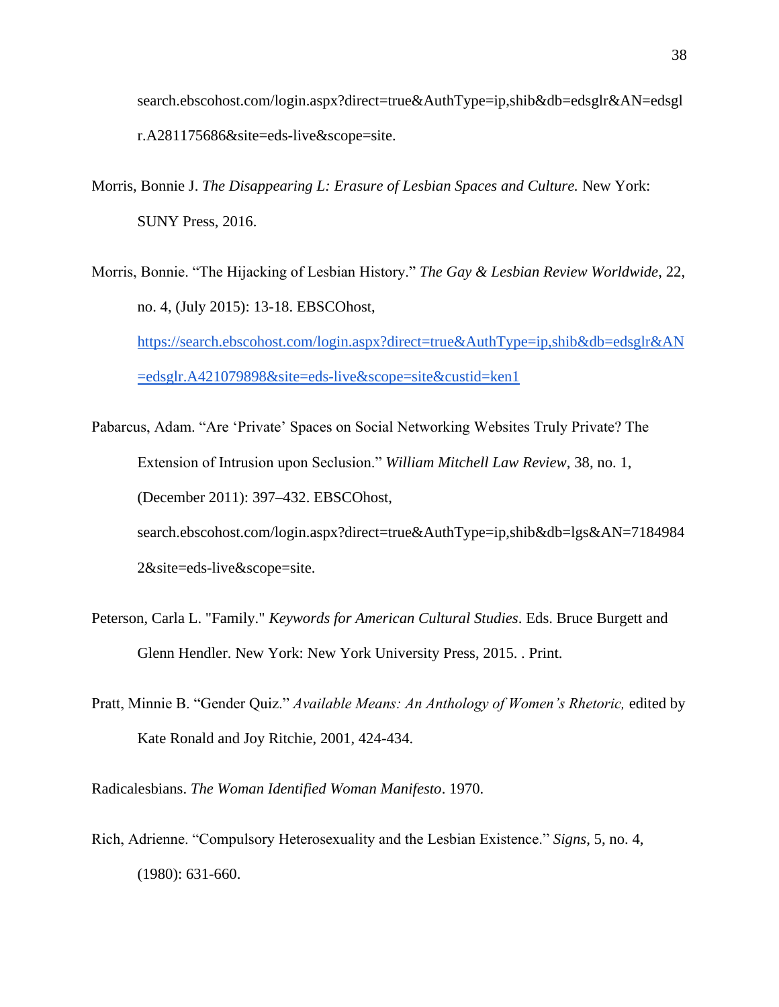search.ebscohost.com/login.aspx?direct=true&AuthType=ip,shib&db=edsglr&AN=edsgl r.A281175686&site=eds-live&scope=site.

- Morris, Bonnie J. *The Disappearing L: Erasure of Lesbian Spaces and Culture.* New York: SUNY Press, 2016.
- Morris, Bonnie. "The Hijacking of Lesbian History." *The Gay & Lesbian Review Worldwide*, 22, no. 4, (July 2015): 13-18. EBSCOhost[,](https://search.ebscohost.com/login.aspx?direct=true&AuthType=ip,shib&db=edsglr&AN=edsglr.A421079898&site=eds-live&scope=site&custid=ken1) [https://search.ebscohost.com/login.aspx?direct=true&AuthType=ip,shib&db=edsglr&AN](https://search.ebscohost.com/login.aspx?direct=true&AuthType=ip,shib&db=edsglr&AN=edsglr.A421079898&site=eds-live&scope=site&custid=ken1) [=edsglr.A421079898&site=eds-live&scope=site&custid=ken1](https://search.ebscohost.com/login.aspx?direct=true&AuthType=ip,shib&db=edsglr&AN=edsglr.A421079898&site=eds-live&scope=site&custid=ken1)
- Pabarcus, Adam. "Are 'Private' Spaces on Social Networking Websites Truly Private? The Extension of Intrusion upon Seclusion." *William Mitchell Law Review*, 38, no. 1, (December 2011): 397–432. EBSCOhost, search.ebscohost.com/login.aspx?direct=true&AuthType=ip,shib&db=lgs&AN=7184984 2&site=eds-live&scope=site.
- Peterson, Carla L. "Family." *Keywords for American Cultural Studies*. Eds. Bruce Burgett and Glenn Hendler. New York: New York University Press, 2015. . Print.
- Pratt, Minnie B. "Gender Quiz." *Available Means: An Anthology of Women's Rhetoric,* edited by Kate Ronald and Joy Ritchie, 2001, 424-434.

Radicalesbians. *The Woman Identified Woman Manifesto*. 1970.

Rich, Adrienne. "Compulsory Heterosexuality and the Lesbian Existence." *Signs*, 5, no. 4, (1980): 631-660.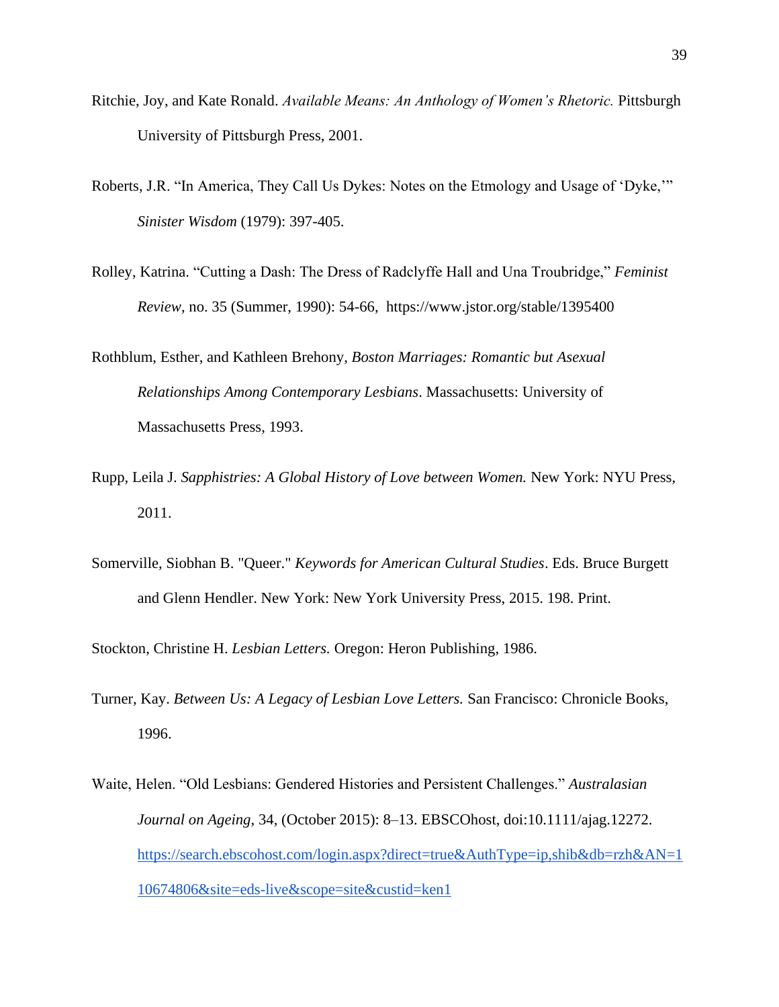- Ritchie, Joy, and Kate Ronald. *Available Means: An Anthology of Women's Rhetoric.* Pittsburgh University of Pittsburgh Press, 2001.
- Roberts, J.R. "In America, They Call Us Dykes: Notes on the Etmology and Usage of 'Dyke,'" *Sinister Wisdom* (1979): 397-405.
- Rolley, Katrina. "Cutting a Dash: The Dress of Radclyffe Hall and Una Troubridge," *Feminist Review*, no. 35 (Summer, 1990): 54-66, https://www.jstor.org/stable/1395400
- Rothblum, Esther, and Kathleen Brehony, *Boston Marriages: Romantic but Asexual Relationships Among Contemporary Lesbians*. Massachusetts: University of Massachusetts Press, 1993.
- Rupp, Leila J. *Sapphistries: A Global History of Love between Women.* New York: NYU Press, 2011.
- Somerville, Siobhan B. "Queer." *Keywords for American Cultural Studies*. Eds. Bruce Burgett and Glenn Hendler. New York: New York University Press, 2015. 198. Print.

Stockton, Christine H. *Lesbian Letters.* Oregon: Heron Publishing, 1986.

- Turner, Kay. *Between Us: A Legacy of Lesbian Love Letters.* San Francisco: Chronicle Books, 1996.
- Waite, Helen. "Old Lesbians: Gendered Histories and Persistent Challenges." *Australasian Journal on Ageing*, 34, (October 2015): 8–13. EBSCOhost, doi:10.1111/ajag.12272[.](https://search.ebscohost.com/login.aspx?direct=true&AuthType=ip,shib&db=rzh&AN=110674806&site=eds-live&scope=site&custid=ken1) [https://search.ebscohost.com/login.aspx?direct=true&AuthType=ip,shib&db=rzh&AN=1](https://search.ebscohost.com/login.aspx?direct=true&AuthType=ip,shib&db=rzh&AN=110674806&site=eds-live&scope=site&custid=ken1) [10674806&site=eds-live&scope=site&custid=ken1](https://search.ebscohost.com/login.aspx?direct=true&AuthType=ip,shib&db=rzh&AN=110674806&site=eds-live&scope=site&custid=ken1)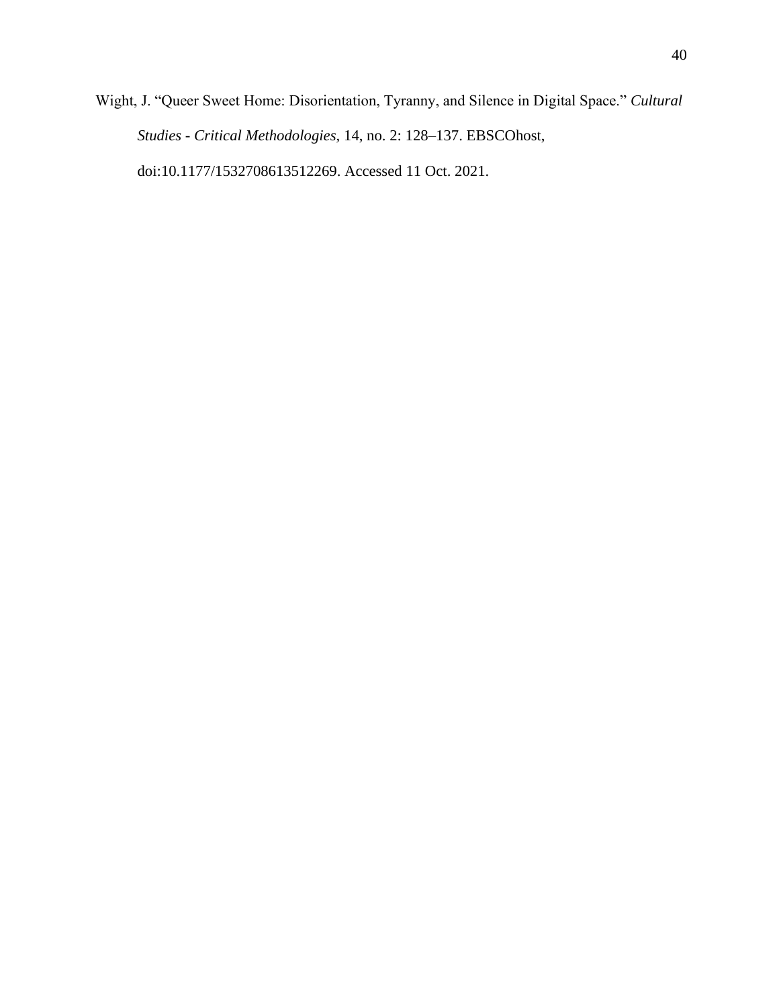Wight, J. "Queer Sweet Home: Disorientation, Tyranny, and Silence in Digital Space." *Cultural Studies - Critical Methodologies,* 14, no. 2: 128–137. EBSCOhost, doi:10.1177/1532708613512269. Accessed 11 Oct. 2021.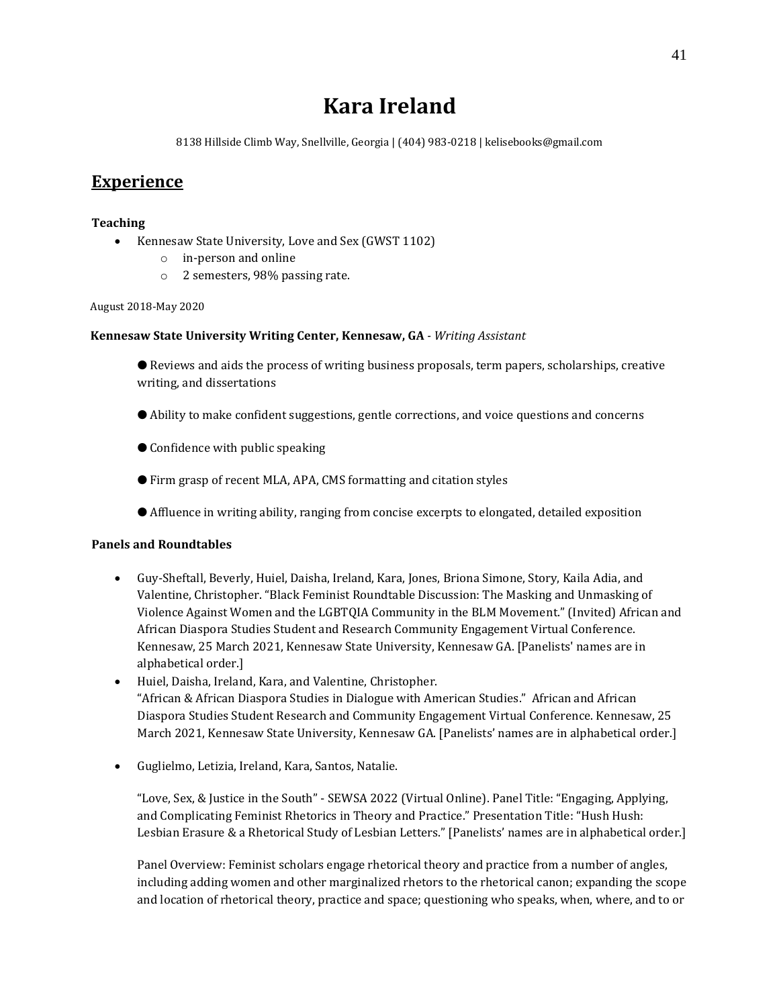# **Kara Ireland**

8138 Hillside Climb Way, Snellville, Georgia | (404) 983-0218 | kelisebooks@gmail.com

## **Experience**

#### **Teaching**

- Kennesaw State University, Love and Sex (GWST 1102)
	- o in-person and online
	- o 2 semesters, 98% passing rate.

#### August 2018-May 2020

#### **Kennesaw State University Writing Center, Kennesaw, GA** *- Writing Assistant*

● Reviews and aids the process of writing business proposals, term papers, scholarships, creative writing, and dissertations

- Ability to make confident suggestions, gentle corrections, and voice questions and concerns
- Confidence with public speaking
- Firm grasp of recent MLA, APA, CMS formatting and citation styles
- Affluence in writing ability, ranging from concise excerpts to elongated, detailed exposition

#### **Panels and Roundtables**

- Guy-Sheftall, Beverly, Huiel, Daisha, Ireland, Kara, Jones, Briona Simone, Story, Kaila Adia, and Valentine, Christopher. "Black Feminist Roundtable Discussion: The Masking and Unmasking of Violence Against Women and the LGBTQIA Community in the BLM Movement." (Invited) African and African Diaspora Studies Student and Research Community Engagement Virtual Conference. Kennesaw, 25 March 2021, Kennesaw State University, Kennesaw GA. [Panelists' names are in alphabetical order.]
- Huiel, Daisha, Ireland, Kara, and Valentine, Christopher. "African & African Diaspora Studies in Dialogue with American Studies." African and African Diaspora Studies Student Research and Community Engagement Virtual Conference. Kennesaw, 25 March 2021, Kennesaw State University, Kennesaw GA. [Panelists' names are in alphabetical order.]
- Guglielmo, Letizia, Ireland, Kara, Santos, Natalie.

"Love, Sex, & Justice in the South" - SEWSA 2022 (Virtual Online). Panel Title: "Engaging, Applying, and Complicating Feminist Rhetorics in Theory and Practice." Presentation Title: "Hush Hush: Lesbian Erasure & a Rhetorical Study of Lesbian Letters." [Panelists' names are in alphabetical order.]

Panel Overview: Feminist scholars engage rhetorical theory and practice from a number of angles, including adding women and other marginalized rhetors to the rhetorical canon; expanding the scope and location of rhetorical theory, practice and space; questioning who speaks, when, where, and to or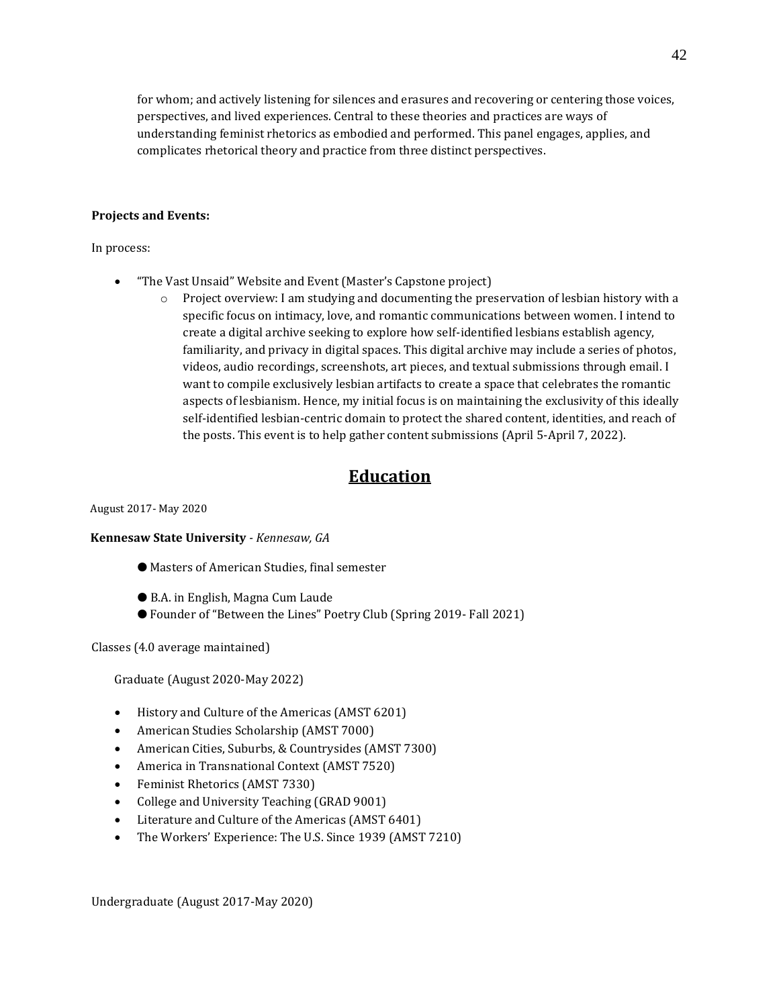for whom; and actively listening for silences and erasures and recovering or centering those voices, perspectives, and lived experiences. Central to these theories and practices are ways of understanding feminist rhetorics as embodied and performed. This panel engages, applies, and complicates rhetorical theory and practice from three distinct perspectives.

#### **Projects and Events:**

In process:

- "The Vast Unsaid" Website and Event (Master's Capstone project)
	- $\circ$  Project overview: I am studying and documenting the preservation of lesbian history with a specific focus on intimacy, love, and romantic communications between women. I intend to create a digital archive seeking to explore how self-identified lesbians establish agency, familiarity, and privacy in digital spaces. This digital archive may include a series of photos, videos, audio recordings, screenshots, art pieces, and textual submissions through email. I want to compile exclusively lesbian artifacts to create a space that celebrates the romantic aspects of lesbianism. Hence, my initial focus is on maintaining the exclusivity of this ideally self-identified lesbian-centric domain to protect the shared content, identities, and reach of the posts. This event is to help gather content submissions (April 5-April 7, 2022).

## **Education**

August 2017- May 2020

#### **Kennesaw State University** *- Kennesaw, GA*

- Masters of American Studies, final semester
- B.A. in English, Magna Cum Laude
- Founder of "Between the Lines" Poetry Club (Spring 2019- Fall 2021)

Classes (4.0 average maintained)

Graduate (August 2020-May 2022)

- History and Culture of the Americas (AMST 6201)
- American Studies Scholarship (AMST 7000)
- American Cities, Suburbs, & Countrysides (AMST 7300)
- America in Transnational Context (AMST 7520)
- Feminist Rhetorics (AMST 7330)
- College and University Teaching (GRAD 9001)
- Literature and Culture of the Americas (AMST 6401)
- The Workers' Experience: The U.S. Since 1939 (AMST 7210)

Undergraduate (August 2017-May 2020)